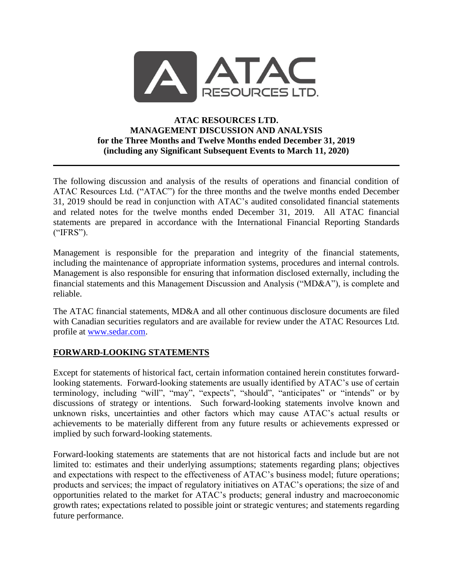

#### **ATAC RESOURCES LTD. MANAGEMENT DISCUSSION AND ANALYSIS for the Three Months and Twelve Months ended December 31, 2019 (including any Significant Subsequent Events to March 11, 2020)**

The following discussion and analysis of the results of operations and financial condition of ATAC Resources Ltd. ("ATAC") for the three months and the twelve months ended December 31, 2019 should be read in conjunction with ATAC's audited consolidated financial statements and related notes for the twelve months ended December 31, 2019. All ATAC financial statements are prepared in accordance with the International Financial Reporting Standards ("IFRS").

Management is responsible for the preparation and integrity of the financial statements, including the maintenance of appropriate information systems, procedures and internal controls. Management is also responsible for ensuring that information disclosed externally, including the financial statements and this Management Discussion and Analysis ("MD&A"), is complete and reliable.

The ATAC financial statements, MD&A and all other continuous disclosure documents are filed with Canadian securities regulators and are available for review under the ATAC Resources Ltd. profile at [www.sedar.com.](http://www.sedar.com/)

### **FORWARD-LOOKING STATEMENTS**

Except for statements of historical fact, certain information contained herein constitutes forwardlooking statements. Forward-looking statements are usually identified by ATAC's use of certain terminology, including "will", "may", "expects", "should", "anticipates" or "intends" or by discussions of strategy or intentions. Such forward-looking statements involve known and unknown risks, uncertainties and other factors which may cause ATAC's actual results or achievements to be materially different from any future results or achievements expressed or implied by such forward-looking statements.

Forward-looking statements are statements that are not historical facts and include but are not limited to: estimates and their underlying assumptions; statements regarding plans; objectives and expectations with respect to the effectiveness of ATAC's business model; future operations; products and services; the impact of regulatory initiatives on ATAC's operations; the size of and opportunities related to the market for ATAC's products; general industry and macroeconomic growth rates; expectations related to possible joint or strategic ventures; and statements regarding future performance.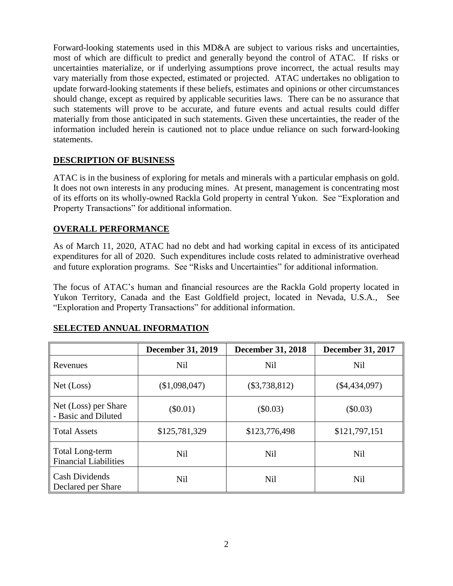Forward-looking statements used in this MD&A are subject to various risks and uncertainties, most of which are difficult to predict and generally beyond the control of ATAC. If risks or uncertainties materialize, or if underlying assumptions prove incorrect, the actual results may vary materially from those expected, estimated or projected. ATAC undertakes no obligation to update forward-looking statements if these beliefs, estimates and opinions or other circumstances should change, except as required by applicable securities laws. There can be no assurance that such statements will prove to be accurate, and future events and actual results could differ materially from those anticipated in such statements. Given these uncertainties, the reader of the information included herein is cautioned not to place undue reliance on such forward-looking statements.

### **DESCRIPTION OF BUSINESS**

ATAC is in the business of exploring for metals and minerals with a particular emphasis on gold. It does not own interests in any producing mines. At present, management is concentrating most of its efforts on its wholly-owned Rackla Gold property in central Yukon. See "Exploration and Property Transactions" for additional information.

### **OVERALL PERFORMANCE**

As of March 11, 2020, ATAC had no debt and had working capital in excess of its anticipated expenditures for all of 2020. Such expenditures include costs related to administrative overhead and future exploration programs. See "Risks and Uncertainties" for additional information.

The focus of ATAC's human and financial resources are the Rackla Gold property located in Yukon Territory, Canada and the East Goldfield project, located in Nevada, U.S.A., See "Exploration and Property Transactions" for additional information.

|                                                 | <b>December 31, 2019</b> | <b>December 31, 2018</b> | <b>December 31, 2017</b> |
|-------------------------------------------------|--------------------------|--------------------------|--------------------------|
| Revenues                                        | <b>Nil</b>               | <b>Nil</b>               | <b>Nil</b>               |
| Net (Loss)                                      | (\$1,098,047)            | $(\$3,738,812)$          | $(\$4,434,097)$          |
| Net (Loss) per Share<br>- Basic and Diluted     | $(\$0.01)$<br>(\$0.03)   |                          | $(\$0.03)$               |
| <b>Total Assets</b>                             | \$125,781,329            | \$123,776,498            | \$121,797,151            |
| Total Long-term<br><b>Financial Liabilities</b> | <b>Nil</b>               | <b>Nil</b>               | <b>Nil</b>               |
| <b>Cash Dividends</b><br>Declared per Share     | <b>Nil</b>               | <b>Nil</b>               | <b>Nil</b>               |

### **SELECTED ANNUAL INFORMATION**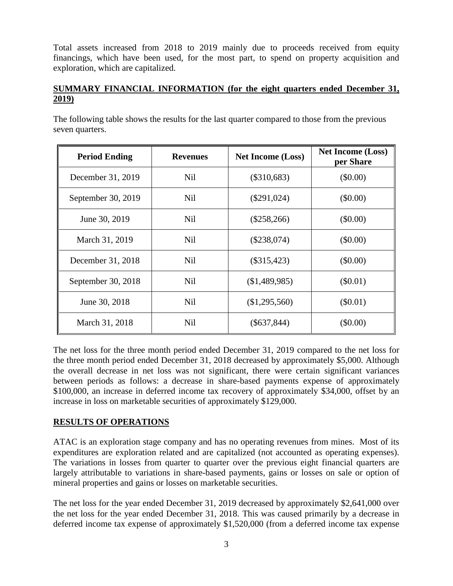Total assets increased from 2018 to 2019 mainly due to proceeds received from equity financings, which have been used, for the most part, to spend on property acquisition and exploration, which are capitalized.

### **SUMMARY FINANCIAL INFORMATION (for the eight quarters ended December 31, 2019)**

The following table shows the results for the last quarter compared to those from the previous seven quarters.

| <b>Period Ending</b> | <b>Revenues</b>      | <b>Net Income (Loss)</b> |            |
|----------------------|----------------------|--------------------------|------------|
| December 31, 2019    | Nil                  | $(\$310,683)$            | (\$0.00)   |
| September 30, 2019   | Nil                  | $(\$291,024)$            | $(\$0.00)$ |
| June 30, 2019        | Nil                  | $(\$258,266)$            | $(\$0.00)$ |
| March 31, 2019       | <b>Nil</b>           | $(\$238,074)$            | $(\$0.00)$ |
| December 31, 2018    | Nil<br>$(\$315,423)$ |                          | (\$0.00)   |
| September 30, 2018   | <b>Nil</b>           | (\$1,489,985)            | $(\$0.01)$ |
| June 30, 2018        | <b>Nil</b>           | (\$1,295,560)            | $(\$0.01)$ |
| March 31, 2018       | <b>Nil</b>           | $(\$637,844)$            | (\$0.00)   |

The net loss for the three month period ended December 31, 2019 compared to the net loss for the three month period ended December 31, 2018 decreased by approximately \$5,000. Although the overall decrease in net loss was not significant, there were certain significant variances between periods as follows: a decrease in share-based payments expense of approximately \$100,000, an increase in deferred income tax recovery of approximately \$34,000, offset by an increase in loss on marketable securities of approximately \$129,000.

### **RESULTS OF OPERATIONS**

ATAC is an exploration stage company and has no operating revenues from mines. Most of its expenditures are exploration related and are capitalized (not accounted as operating expenses). The variations in losses from quarter to quarter over the previous eight financial quarters are largely attributable to variations in share-based payments, gains or losses on sale or option of mineral properties and gains or losses on marketable securities.

The net loss for the year ended December 31, 2019 decreased by approximately \$2,641,000 over the net loss for the year ended December 31, 2018. This was caused primarily by a decrease in deferred income tax expense of approximately \$1,520,000 (from a deferred income tax expense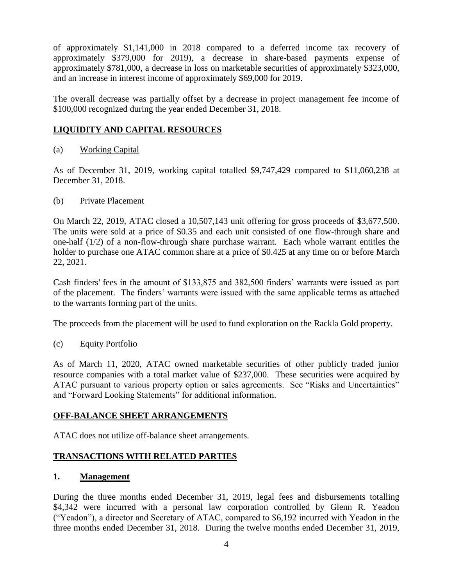of approximately \$1,141,000 in 2018 compared to a deferred income tax recovery of approximately \$379,000 for 2019), a decrease in share-based payments expense of approximately \$781,000, a decrease in loss on marketable securities of approximately \$323,000, and an increase in interest income of approximately \$69,000 for 2019.

The overall decrease was partially offset by a decrease in project management fee income of \$100,000 recognized during the year ended December 31, 2018.

### **LIQUIDITY AND CAPITAL RESOURCES**

(a) Working Capital

As of December 31, 2019, working capital totalled \$9,747,429 compared to \$11,060,238 at December 31, 2018.

(b) Private Placement

On March 22, 2019, ATAC closed a 10,507,143 unit offering for gross proceeds of \$3,677,500. The units were sold at a price of \$0.35 and each unit consisted of one flow-through share and one-half (1/2) of a non-flow-through share purchase warrant. Each whole warrant entitles the holder to purchase one ATAC common share at a price of \$0.425 at any time on or before March 22, 2021.

Cash finders' fees in the amount of \$133,875 and 382,500 finders' warrants were issued as part of the placement. The finders' warrants were issued with the same applicable terms as attached to the warrants forming part of the units.

The proceeds from the placement will be used to fund exploration on the Rackla Gold property.

(c) Equity Portfolio

As of March 11, 2020, ATAC owned marketable securities of other publicly traded junior resource companies with a total market value of \$237,000. These securities were acquired by ATAC pursuant to various property option or sales agreements. See "Risks and Uncertainties" and "Forward Looking Statements" for additional information.

### **OFF-BALANCE SHEET ARRANGEMENTS**

ATAC does not utilize off-balance sheet arrangements.

### **TRANSACTIONS WITH RELATED PARTIES**

#### **1. Management**

During the three months ended December 31, 2019, legal fees and disbursements totalling \$4,342 were incurred with a personal law corporation controlled by Glenn R. Yeadon ("Yeadon"), a director and Secretary of ATAC, compared to \$6,192 incurred with Yeadon in the three months ended December 31, 2018. During the twelve months ended December 31, 2019,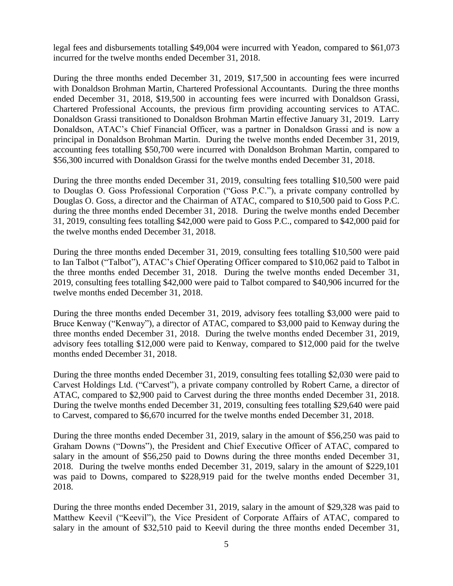legal fees and disbursements totalling \$49,004 were incurred with Yeadon, compared to \$61,073 incurred for the twelve months ended December 31, 2018.

During the three months ended December 31, 2019, \$17,500 in accounting fees were incurred with Donaldson Brohman Martin, Chartered Professional Accountants. During the three months ended December 31, 2018, \$19,500 in accounting fees were incurred with Donaldson Grassi, Chartered Professional Accounts, the previous firm providing accounting services to ATAC. Donaldson Grassi transitioned to Donaldson Brohman Martin effective January 31, 2019. Larry Donaldson, ATAC's Chief Financial Officer, was a partner in Donaldson Grassi and is now a principal in Donaldson Brohman Martin. During the twelve months ended December 31, 2019, accounting fees totalling \$50,700 were incurred with Donaldson Brohman Martin, compared to \$56,300 incurred with Donaldson Grassi for the twelve months ended December 31, 2018.

During the three months ended December 31, 2019, consulting fees totalling \$10,500 were paid to Douglas O. Goss Professional Corporation ("Goss P.C."), a private company controlled by Douglas O. Goss, a director and the Chairman of ATAC, compared to \$10,500 paid to Goss P.C. during the three months ended December 31, 2018. During the twelve months ended December 31, 2019, consulting fees totalling \$42,000 were paid to Goss P.C., compared to \$42,000 paid for the twelve months ended December 31, 2018.

During the three months ended December 31, 2019, consulting fees totalling \$10,500 were paid to Ian Talbot ("Talbot"), ATAC's Chief Operating Officer compared to \$10,062 paid to Talbot in the three months ended December 31, 2018. During the twelve months ended December 31, 2019, consulting fees totalling \$42,000 were paid to Talbot compared to \$40,906 incurred for the twelve months ended December 31, 2018.

During the three months ended December 31, 2019, advisory fees totalling \$3,000 were paid to Bruce Kenway ("Kenway"), a director of ATAC, compared to \$3,000 paid to Kenway during the three months ended December 31, 2018. During the twelve months ended December 31, 2019, advisory fees totalling \$12,000 were paid to Kenway, compared to \$12,000 paid for the twelve months ended December 31, 2018.

During the three months ended December 31, 2019, consulting fees totalling \$2,030 were paid to Carvest Holdings Ltd. ("Carvest"), a private company controlled by Robert Carne, a director of ATAC, compared to \$2,900 paid to Carvest during the three months ended December 31, 2018. During the twelve months ended December 31, 2019, consulting fees totalling \$29,640 were paid to Carvest, compared to \$6,670 incurred for the twelve months ended December 31, 2018.

During the three months ended December 31, 2019, salary in the amount of \$56,250 was paid to Graham Downs ("Downs"), the President and Chief Executive Officer of ATAC, compared to salary in the amount of \$56,250 paid to Downs during the three months ended December 31, 2018. During the twelve months ended December 31, 2019, salary in the amount of \$229,101 was paid to Downs, compared to \$228,919 paid for the twelve months ended December 31, 2018.

During the three months ended December 31, 2019, salary in the amount of \$29,328 was paid to Matthew Keevil ("Keevil"), the Vice President of Corporate Affairs of ATAC, compared to salary in the amount of \$32,510 paid to Keevil during the three months ended December 31,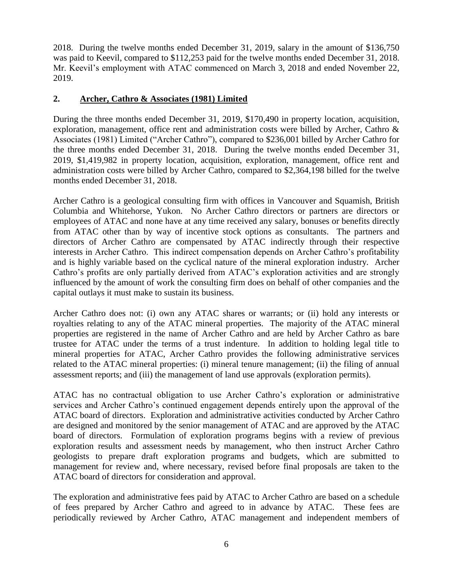2018. During the twelve months ended December 31, 2019, salary in the amount of \$136,750 was paid to Keevil, compared to \$112,253 paid for the twelve months ended December 31, 2018. Mr. Keevil's employment with ATAC commenced on March 3, 2018 and ended November 22, 2019.

#### **2. Archer, Cathro & Associates (1981) Limited**

During the three months ended December 31, 2019, \$170,490 in property location, acquisition, exploration, management, office rent and administration costs were billed by Archer, Cathro & Associates (1981) Limited ("Archer Cathro"), compared to \$236,001 billed by Archer Cathro for the three months ended December 31, 2018. During the twelve months ended December 31, 2019, \$1,419,982 in property location, acquisition, exploration, management, office rent and administration costs were billed by Archer Cathro, compared to \$2,364,198 billed for the twelve months ended December 31, 2018.

Archer Cathro is a geological consulting firm with offices in Vancouver and Squamish, British Columbia and Whitehorse, Yukon. No Archer Cathro directors or partners are directors or employees of ATAC and none have at any time received any salary, bonuses or benefits directly from ATAC other than by way of incentive stock options as consultants. The partners and directors of Archer Cathro are compensated by ATAC indirectly through their respective interests in Archer Cathro. This indirect compensation depends on Archer Cathro's profitability and is highly variable based on the cyclical nature of the mineral exploration industry. Archer Cathro's profits are only partially derived from ATAC's exploration activities and are strongly influenced by the amount of work the consulting firm does on behalf of other companies and the capital outlays it must make to sustain its business.

Archer Cathro does not: (i) own any ATAC shares or warrants; or (ii) hold any interests or royalties relating to any of the ATAC mineral properties. The majority of the ATAC mineral properties are registered in the name of Archer Cathro and are held by Archer Cathro as bare trustee for ATAC under the terms of a trust indenture. In addition to holding legal title to mineral properties for ATAC, Archer Cathro provides the following administrative services related to the ATAC mineral properties: (i) mineral tenure management; (ii) the filing of annual assessment reports; and (iii) the management of land use approvals (exploration permits).

ATAC has no contractual obligation to use Archer Cathro's exploration or administrative services and Archer Cathro's continued engagement depends entirely upon the approval of the ATAC board of directors. Exploration and administrative activities conducted by Archer Cathro are designed and monitored by the senior management of ATAC and are approved by the ATAC board of directors. Formulation of exploration programs begins with a review of previous exploration results and assessment needs by management, who then instruct Archer Cathro geologists to prepare draft exploration programs and budgets, which are submitted to management for review and, where necessary, revised before final proposals are taken to the ATAC board of directors for consideration and approval.

The exploration and administrative fees paid by ATAC to Archer Cathro are based on a schedule of fees prepared by Archer Cathro and agreed to in advance by ATAC. These fees are periodically reviewed by Archer Cathro, ATAC management and independent members of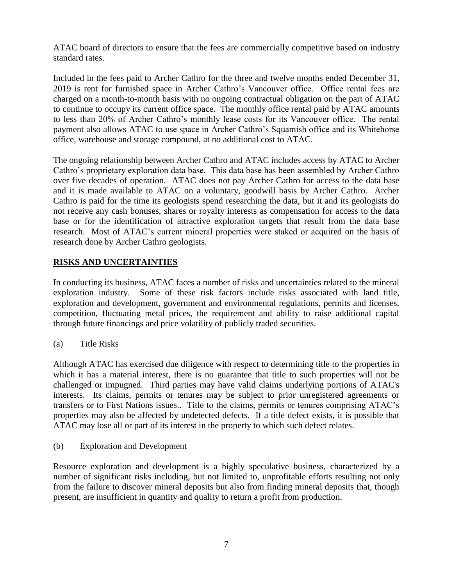ATAC board of directors to ensure that the fees are commercially competitive based on industry standard rates.

Included in the fees paid to Archer Cathro for the three and twelve months ended December 31, 2019 is rent for furnished space in Archer Cathro's Vancouver office. Office rental fees are charged on a month-to-month basis with no ongoing contractual obligation on the part of ATAC to continue to occupy its current office space. The monthly office rental paid by ATAC amounts to less than 20% of Archer Cathro's monthly lease costs for its Vancouver office. The rental payment also allows ATAC to use space in Archer Cathro's Squamish office and its Whitehorse office, warehouse and storage compound, at no additional cost to ATAC.

The ongoing relationship between Archer Cathro and ATAC includes access by ATAC to Archer Cathro's proprietary exploration data base. This data base has been assembled by Archer Cathro over five decades of operation. ATAC does not pay Archer Cathro for access to the data base and it is made available to ATAC on a voluntary, goodwill basis by Archer Cathro. Archer Cathro is paid for the time its geologists spend researching the data, but it and its geologists do not receive any cash bonuses, shares or royalty interests as compensation for access to the data base or for the identification of attractive exploration targets that result from the data base research. Most of ATAC's current mineral properties were staked or acquired on the basis of research done by Archer Cathro geologists.

### **RISKS AND UNCERTAINTIES**

In conducting its business, ATAC faces a number of risks and uncertainties related to the mineral exploration industry. Some of these risk factors include risks associated with land title, exploration and development, government and environmental regulations, permits and licenses, competition, fluctuating metal prices, the requirement and ability to raise additional capital through future financings and price volatility of publicly traded securities.

(a) Title Risks

Although ATAC has exercised due diligence with respect to determining title to the properties in which it has a material interest, there is no guarantee that title to such properties will not be challenged or impugned. Third parties may have valid claims underlying portions of ATAC's interests. Its claims, permits or tenures may be subject to prior unregistered agreements or transfers or to First Nations issues.. Title to the claims, permits or tenures comprising ATAC's properties may also be affected by undetected defects. If a title defect exists, it is possible that ATAC may lose all or part of its interest in the property to which such defect relates.

(b) Exploration and Development

Resource exploration and development is a highly speculative business, characterized by a number of significant risks including, but not limited to, unprofitable efforts resulting not only from the failure to discover mineral deposits but also from finding mineral deposits that, though present, are insufficient in quantity and quality to return a profit from production.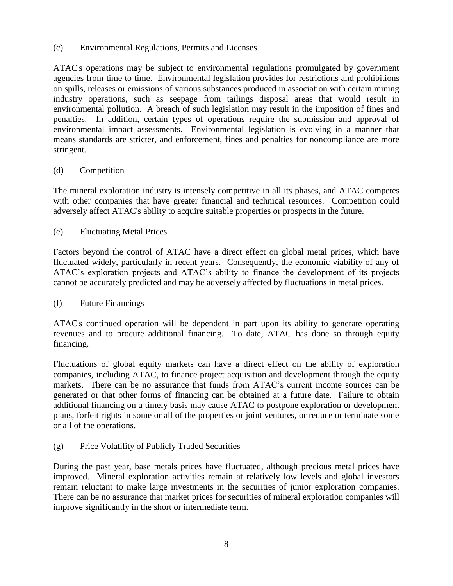(c) Environmental Regulations, Permits and Licenses

ATAC's operations may be subject to environmental regulations promulgated by government agencies from time to time. Environmental legislation provides for restrictions and prohibitions on spills, releases or emissions of various substances produced in association with certain mining industry operations, such as seepage from tailings disposal areas that would result in environmental pollution. A breach of such legislation may result in the imposition of fines and penalties. In addition, certain types of operations require the submission and approval of environmental impact assessments. Environmental legislation is evolving in a manner that means standards are stricter, and enforcement, fines and penalties for noncompliance are more stringent.

#### (d) Competition

The mineral exploration industry is intensely competitive in all its phases, and ATAC competes with other companies that have greater financial and technical resources. Competition could adversely affect ATAC's ability to acquire suitable properties or prospects in the future.

(e) Fluctuating Metal Prices

Factors beyond the control of ATAC have a direct effect on global metal prices, which have fluctuated widely, particularly in recent years. Consequently, the economic viability of any of ATAC's exploration projects and ATAC's ability to finance the development of its projects cannot be accurately predicted and may be adversely affected by fluctuations in metal prices.

#### (f) Future Financings

ATAC's continued operation will be dependent in part upon its ability to generate operating revenues and to procure additional financing. To date, ATAC has done so through equity financing.

Fluctuations of global equity markets can have a direct effect on the ability of exploration companies, including ATAC, to finance project acquisition and development through the equity markets. There can be no assurance that funds from ATAC's current income sources can be generated or that other forms of financing can be obtained at a future date. Failure to obtain additional financing on a timely basis may cause ATAC to postpone exploration or development plans, forfeit rights in some or all of the properties or joint ventures, or reduce or terminate some or all of the operations.

(g) Price Volatility of Publicly Traded Securities

During the past year, base metals prices have fluctuated, although precious metal prices have improved. Mineral exploration activities remain at relatively low levels and global investors remain reluctant to make large investments in the securities of junior exploration companies. There can be no assurance that market prices for securities of mineral exploration companies will improve significantly in the short or intermediate term.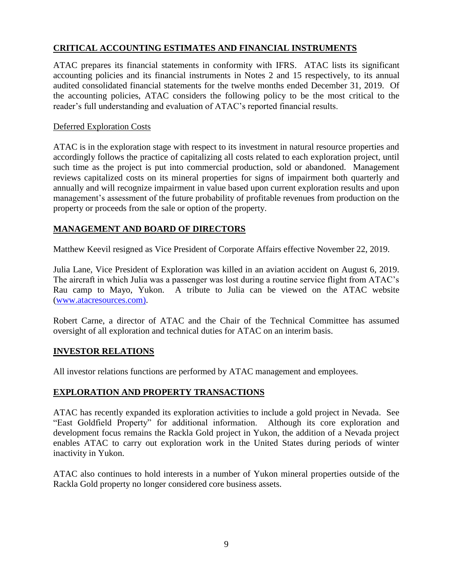### **CRITICAL ACCOUNTING ESTIMATES AND FINANCIAL INSTRUMENTS**

ATAC prepares its financial statements in conformity with IFRS. ATAC lists its significant accounting policies and its financial instruments in Notes 2 and 15 respectively, to its annual audited consolidated financial statements for the twelve months ended December 31, 2019. Of the accounting policies, ATAC considers the following policy to be the most critical to the reader's full understanding and evaluation of ATAC's reported financial results.

#### Deferred Exploration Costs

ATAC is in the exploration stage with respect to its investment in natural resource properties and accordingly follows the practice of capitalizing all costs related to each exploration project, until such time as the project is put into commercial production, sold or abandoned. Management reviews capitalized costs on its mineral properties for signs of impairment both quarterly and annually and will recognize impairment in value based upon current exploration results and upon management's assessment of the future probability of profitable revenues from production on the property or proceeds from the sale or option of the property.

### **MANAGEMENT AND BOARD OF DIRECTORS**

Matthew Keevil resigned as Vice President of Corporate Affairs effective November 22, 2019.

Julia Lane, Vice President of Exploration was killed in an aviation accident on August 6, 2019. The aircraft in which Julia was a passenger was lost during a routine service flight from ATAC's Rau camp to Mayo, Yukon. A tribute to Julia can be viewed on the ATAC website [\(www.atacresources.com\)](http://www.atacresources.com/).

Robert Carne, a director of ATAC and the Chair of the Technical Committee has assumed oversight of all exploration and technical duties for ATAC on an interim basis.

### **INVESTOR RELATIONS**

All investor relations functions are performed by ATAC management and employees.

### **EXPLORATION AND PROPERTY TRANSACTIONS**

ATAC has recently expanded its exploration activities to include a gold project in Nevada. See "East Goldfield Property" for additional information. Although its core exploration and development focus remains the Rackla Gold project in Yukon, the addition of a Nevada project enables ATAC to carry out exploration work in the United States during periods of winter inactivity in Yukon.

ATAC also continues to hold interests in a number of Yukon mineral properties outside of the Rackla Gold property no longer considered core business assets.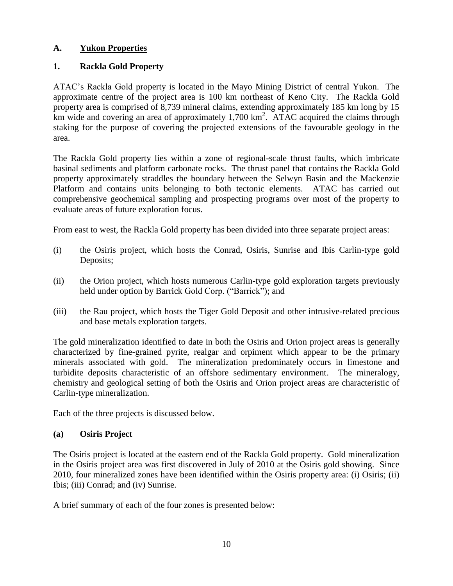### **A. Yukon Properties**

### **1. Rackla Gold Property**

ATAC's Rackla Gold property is located in the Mayo Mining District of central Yukon. The approximate centre of the project area is 100 km northeast of Keno City. The Rackla Gold property area is comprised of 8,739 mineral claims, extending approximately 185 km long by 15 km wide and covering an area of approximately 1,700 km<sup>2</sup>. ATAC acquired the claims through staking for the purpose of covering the projected extensions of the favourable geology in the area.

The Rackla Gold property lies within a zone of regional-scale thrust faults, which imbricate basinal sediments and platform carbonate rocks. The thrust panel that contains the Rackla Gold property approximately straddles the boundary between the Selwyn Basin and the Mackenzie Platform and contains units belonging to both tectonic elements. ATAC has carried out comprehensive geochemical sampling and prospecting programs over most of the property to evaluate areas of future exploration focus.

From east to west, the Rackla Gold property has been divided into three separate project areas:

- (i) the Osiris project, which hosts the Conrad, Osiris, Sunrise and Ibis Carlin-type gold Deposits;
- (ii) the Orion project, which hosts numerous Carlin-type gold exploration targets previously held under option by Barrick Gold Corp. ("Barrick"); and
- (iii) the Rau project, which hosts the Tiger Gold Deposit and other intrusive-related precious and base metals exploration targets.

The gold mineralization identified to date in both the Osiris and Orion project areas is generally characterized by fine-grained pyrite, realgar and orpiment which appear to be the primary minerals associated with gold. The mineralization predominately occurs in limestone and turbidite deposits characteristic of an offshore sedimentary environment. The mineralogy, chemistry and geological setting of both the Osiris and Orion project areas are characteristic of Carlin-type mineralization.

Each of the three projects is discussed below.

### **(a) Osiris Project**

The Osiris project is located at the eastern end of the Rackla Gold property. Gold mineralization in the Osiris project area was first discovered in July of 2010 at the Osiris gold showing. Since 2010, four mineralized zones have been identified within the Osiris property area: (i) Osiris; (ii) Ibis; (iii) Conrad; and (iv) Sunrise.

A brief summary of each of the four zones is presented below: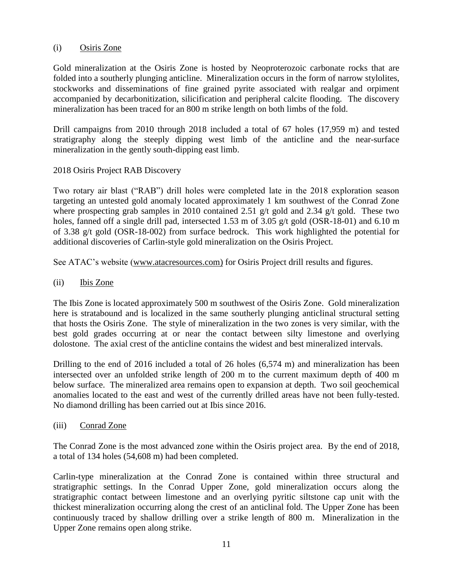#### (i) Osiris Zone

Gold mineralization at the Osiris Zone is hosted by Neoproterozoic carbonate rocks that are folded into a southerly plunging anticline. Mineralization occurs in the form of narrow stylolites, stockworks and disseminations of fine grained pyrite associated with realgar and orpiment accompanied by decarbonitization, silicification and peripheral calcite flooding. The discovery mineralization has been traced for an 800 m strike length on both limbs of the fold.

Drill campaigns from 2010 through 2018 included a total of 67 holes (17,959 m) and tested stratigraphy along the steeply dipping west limb of the anticline and the near-surface mineralization in the gently south-dipping east limb.

#### 2018 Osiris Project RAB Discovery

Two rotary air blast ("RAB") drill holes were completed late in the 2018 exploration season targeting an untested gold anomaly located approximately 1 km southwest of the Conrad Zone where prospecting grab samples in 2010 contained 2.51 g/t gold and 2.34 g/t gold. These two holes, fanned off a single drill pad, intersected 1.53 m of 3.05 g/t gold (OSR-18-01) and 6.10 m of 3.38 g/t gold (OSR-18-002) from surface bedrock. This work highlighted the potential for additional discoveries of Carlin-style gold mineralization on the Osiris Project.

See ATAC's website [\(www.atacresources.com\)](http://www.atacresources.com/) for Osiris Project drill results and figures.

(ii) Ibis Zone

The Ibis Zone is located approximately 500 m southwest of the Osiris Zone. Gold mineralization here is stratabound and is localized in the same southerly plunging anticlinal structural setting that hosts the Osiris Zone. The style of mineralization in the two zones is very similar, with the best gold grades occurring at or near the contact between silty limestone and overlying dolostone. The axial crest of the anticline contains the widest and best mineralized intervals.

Drilling to the end of 2016 included a total of 26 holes (6,574 m) and mineralization has been intersected over an unfolded strike length of 200 m to the current maximum depth of 400 m below surface. The mineralized area remains open to expansion at depth. Two soil geochemical anomalies located to the east and west of the currently drilled areas have not been fully-tested. No diamond drilling has been carried out at Ibis since 2016.

(iii) Conrad Zone

The Conrad Zone is the most advanced zone within the Osiris project area. By the end of 2018, a total of 134 holes (54,608 m) had been completed.

Carlin-type mineralization at the Conrad Zone is contained within three structural and stratigraphic settings. In the Conrad Upper Zone, gold mineralization occurs along the stratigraphic contact between limestone and an overlying pyritic siltstone cap unit with the thickest mineralization occurring along the crest of an anticlinal fold. The Upper Zone has been continuously traced by shallow drilling over a strike length of 800 m. Mineralization in the Upper Zone remains open along strike.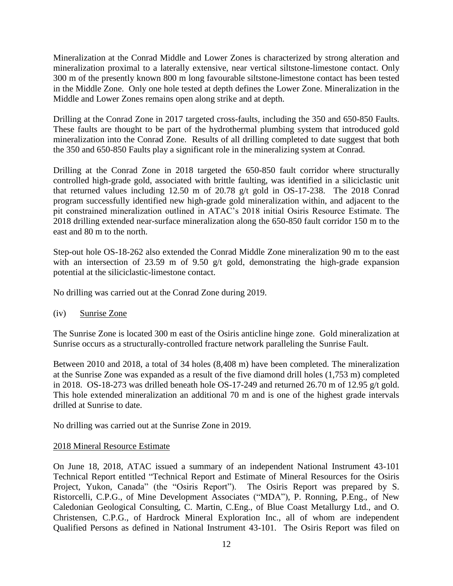Mineralization at the Conrad Middle and Lower Zones is characterized by strong alteration and mineralization proximal to a laterally extensive, near vertical siltstone-limestone contact. Only 300 m of the presently known 800 m long favourable siltstone-limestone contact has been tested in the Middle Zone. Only one hole tested at depth defines the Lower Zone. Mineralization in the Middle and Lower Zones remains open along strike and at depth.

Drilling at the Conrad Zone in 2017 targeted cross-faults, including the 350 and 650-850 Faults. These faults are thought to be part of the hydrothermal plumbing system that introduced gold mineralization into the Conrad Zone. Results of all drilling completed to date suggest that both the 350 and 650-850 Faults play a significant role in the mineralizing system at Conrad.

Drilling at the Conrad Zone in 2018 targeted the 650-850 fault corridor where structurally controlled high-grade gold, associated with brittle faulting, was identified in a siliciclastic unit that returned values including 12.50 m of 20.78 g/t gold in OS-17-238. The 2018 Conrad program successfully identified new high-grade gold mineralization within, and adjacent to the pit constrained mineralization outlined in ATAC's 2018 initial Osiris Resource Estimate. The 2018 drilling extended near-surface mineralization along the 650-850 fault corridor 150 m to the east and 80 m to the north.

Step-out hole OS-18-262 also extended the Conrad Middle Zone mineralization 90 m to the east with an intersection of 23.59 m of 9.50 g/t gold, demonstrating the high-grade expansion potential at the siliciclastic-limestone contact.

No drilling was carried out at the Conrad Zone during 2019.

(iv) Sunrise Zone

The Sunrise Zone is located 300 m east of the Osiris anticline hinge zone. Gold mineralization at Sunrise occurs as a structurally-controlled fracture network paralleling the Sunrise Fault.

Between 2010 and 2018, a total of 34 holes (8,408 m) have been completed. The mineralization at the Sunrise Zone was expanded as a result of the five diamond drill holes (1,753 m) completed in 2018. OS-18-273 was drilled beneath hole OS-17-249 and returned 26.70 m of 12.95 g/t gold. This hole extended mineralization an additional 70 m and is one of the highest grade intervals drilled at Sunrise to date.

No drilling was carried out at the Sunrise Zone in 2019.

### 2018 Mineral Resource Estimate

On June 18, 2018, ATAC issued a summary of an independent National Instrument 43-101 Technical Report entitled ["Technical Report and Estimate of Mineral Resources for the Osiris](http://www.atacresources.com/assets/img/Osiris_Resource_Estimate_and_Technical_Report_2018.pdf)  [Project, Yukon, Canada"](http://www.atacresources.com/assets/img/Osiris_Resource_Estimate_and_Technical_Report_2018.pdf) (the "Osiris Report"). The Osiris Report was prepared by S. Ristorcelli, C.P.G., of Mine Development Associates ("MDA"), P. Ronning, P.Eng., of New Caledonian Geological Consulting, C. Martin, C.Eng., of Blue Coast Metallurgy Ltd., and O. Christensen, C.P.G., of Hardrock Mineral Exploration Inc., all of whom are independent Qualified Persons as defined in National Instrument 43-101. The Osiris Report was filed on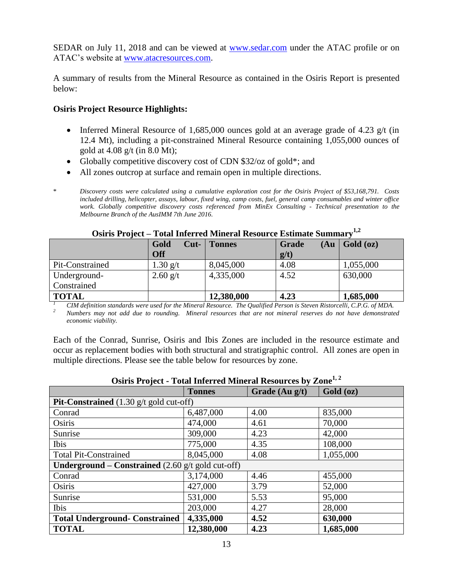SEDAR on July 11, 2018 and can be viewed at [www.sedar.com](http://www.sedar.com/) under the ATAC profile or on ATAC's website at [www.atacresources.com.](http://www.atacresources.com/)

A summary of results from the Mineral Resource as contained in the Osiris Report is presented below:

#### **Osiris Project Resource Highlights:**

- Inferred Mineral Resource of 1,685,000 ounces gold at an average grade of 4.23  $g/t$  (in 12.4 Mt), including a pit-constrained Mineral Resource containing 1,055,000 ounces of gold at 4.08 g/t (in 8.0 Mt);
- Globally competitive discovery cost of CDN \$32/oz of gold\*; and
- All zones outcrop at surface and remain open in multiple directions.
- \* *Discovery costs were calculated using a cumulative exploration cost for the Osiris Project of \$53,168,791. Costs included drilling, helicopter, assays, labour, fixed wing, camp costs, fuel, general camp consumables and winter office work. Globally competitive discovery costs referenced from MinEx Consulting - Technical presentation to the Melbourne Branch of the AusIMM 7th June 2016.*

|                 | Gold<br>$Cut-$ | <b>Tonnes</b> | (Au)<br><b>Grade</b> | Gold (oz) |
|-----------------|----------------|---------------|----------------------|-----------|
|                 | <b>Off</b>     |               | g(t)                 |           |
| Pit-Constrained | $1.30$ g/t     | 8,045,000     | 4.08                 | 1,055,000 |
| Underground-    | $2.60$ g/t     | 4,335,000     | 4.52                 | 630,000   |
| Constrained     |                |               |                      |           |
| <b>TOTAL</b>    |                | 12,380,000    | 4.23                 | 1,685,000 |

**Osiris Project – Total Inferred Mineral Resource Estimate Summary1,2**

<sup>1</sup> *CIM definition standards were used for the Mineral Resource. The Qualified Person is Steven Ristorcelli, C.P.G. of MDA.* $\frac{2}{\pi}$ *Numbers were used and have to grand in a Mineral geometry of the distance in a dist <sup>2</sup> Numbers may not add due to rounding. Mineral resources that are not mineral reserves do not have demonstrated economic viability.* 

Each of the Conrad, Sunrise, Osiris and Ibis Zones are included in the resource estimate and occur as replacement bodies with both structural and stratigraphic control. All zones are open in multiple directions. Please see the table below for resources by zone.

| Osiris Project - Total Inferred Mineral Resources by Zone <sup>+2</sup>    |               |                |           |  |  |  |  |
|----------------------------------------------------------------------------|---------------|----------------|-----------|--|--|--|--|
|                                                                            | <b>Tonnes</b> | Grade (Au g/t) | Gold (oz) |  |  |  |  |
| <b>Pit-Constrained</b> $(1.30 \text{ g/t} \text{ gold cut-off})$           |               |                |           |  |  |  |  |
| Conrad                                                                     | 6,487,000     | 4.00           | 835,000   |  |  |  |  |
| Osiris                                                                     | 474,000       | 4.61           | 70,000    |  |  |  |  |
| Sunrise                                                                    | 309,000       | 4.23           | 42,000    |  |  |  |  |
| Ibis                                                                       | 775,000       | 4.35           | 108,000   |  |  |  |  |
| <b>Total Pit-Constrained</b>                                               | 8,045,000     | 4.08           | 1,055,000 |  |  |  |  |
| <b>Underground – Constrained</b> $(2.60 \text{ g/t} \text{ gold cut-off})$ |               |                |           |  |  |  |  |
| Conrad                                                                     | 3,174,000     | 4.46           | 455,000   |  |  |  |  |
| Osiris                                                                     | 427,000       | 3.79           | 52,000    |  |  |  |  |
| Sunrise                                                                    | 531,000       | 5.53           | 95,000    |  |  |  |  |
| <b>Ibis</b>                                                                | 203,000       | 4.27           | 28,000    |  |  |  |  |
| <b>Total Underground- Constrained</b>                                      | 4,335,000     | 4.52           | 630,000   |  |  |  |  |
| <b>TOTAL</b>                                                               | 12,380,000    | 4.23           | 1,685,000 |  |  |  |  |

### **Osiris Project - Total Inferred Mineral Resources by Zone1, 2**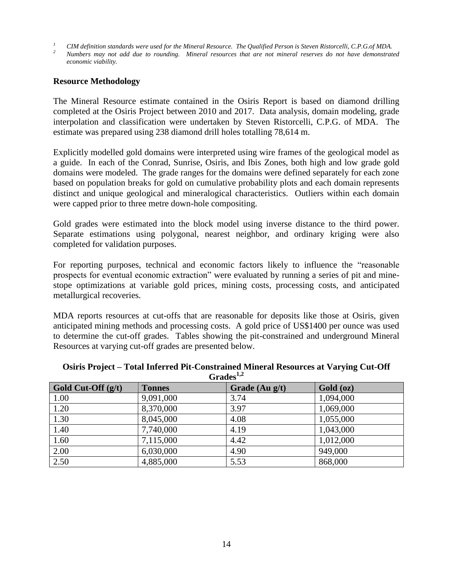*<sup>1</sup> CIM definition standards were used for the Mineral Resource. The Qualified Person is Steven Ristorcelli, C.P.G.of MDA.* 

*<sup>2</sup> Numbers may not add due to rounding. Mineral resources that are not mineral reserves do not have demonstrated economic viability.* 

#### **Resource Methodology**

The Mineral Resource estimate contained in the Osiris Report is based on diamond drilling completed at the Osiris Project between 2010 and 2017. Data analysis, domain modeling, grade interpolation and classification were undertaken by Steven Ristorcelli, C.P.G. of MDA. The estimate was prepared using 238 diamond drill holes totalling 78,614 m.

Explicitly modelled gold domains were interpreted using wire frames of the geological model as a guide. In each of the Conrad, Sunrise, Osiris, and Ibis Zones, both high and low grade gold domains were modeled. The grade ranges for the domains were defined separately for each zone based on population breaks for gold on cumulative probability plots and each domain represents distinct and unique geological and mineralogical characteristics. Outliers within each domain were capped prior to three metre down-hole compositing.

Gold grades were estimated into the block model using inverse distance to the third power. Separate estimations using polygonal, nearest neighbor, and ordinary kriging were also completed for validation purposes.

For reporting purposes, technical and economic factors likely to influence the "reasonable prospects for eventual economic extraction" were evaluated by running a series of pit and minestope optimizations at variable gold prices, mining costs, processing costs, and anticipated metallurgical recoveries.

MDA reports resources at cut-offs that are reasonable for deposits like those at Osiris, given anticipated mining methods and processing costs. A gold price of US\$1400 per ounce was used to determine the cut-off grades. Tables showing the pit-constrained and underground Mineral Resources at varying cut-off grades are presented below.

| Gold Cut-Off $(g/t)$ | <b>GLAUCS</b><br><b>Tonnes</b> | Grade $(Au g/t)$ | Gold (oz) |
|----------------------|--------------------------------|------------------|-----------|
| 1.00                 | 9,091,000                      | 3.74             | 1,094,000 |
| 1.20                 | 8,370,000                      | 3.97             | 1,069,000 |
| 1.30                 | 8,045,000                      | 4.08             | 1,055,000 |
| 1.40                 | 7,740,000                      | 4.19             | 1,043,000 |
| 1.60                 | 7,115,000                      | 4.42             | 1,012,000 |
| 2.00                 | 6,030,000                      | 4.90             | 949,000   |
| 2.50                 | 4,885,000                      | 5.53             | 868,000   |

#### **Osiris Project – Total Inferred Pit-Constrained Mineral Resources at Varying Cut-Off**   $C_{\text{radoc}}^{1,2}$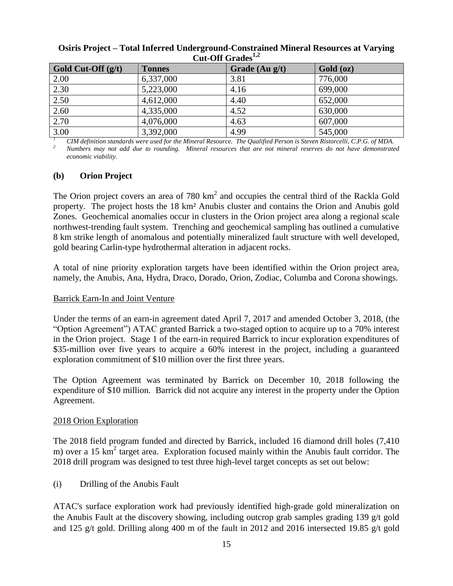| Gold Cut-Off $(g/t)$ | <b>Tonnes</b> | Grade (Au g/t) | Gold (oz) |
|----------------------|---------------|----------------|-----------|
| 2.00                 | 6,337,000     | 3.81           | 776,000   |
| 2.30                 | 5,223,000     | 4.16           | 699,000   |
| 2.50                 | 4,612,000     | 4.40           | 652,000   |
| 2.60                 | 4,335,000     | 4.52           | 630,000   |
| 2.70                 | 4,076,000     | 4.63           | 607,000   |
| $\overline{3.00}$    | 3,392,000     | 4.99           | 545,000   |

#### **Osiris Project – Total Inferred Underground-Constrained Mineral Resources at Varying Cut-Off Grades1,2**

*<sup>1</sup> CIM definition standards were used for the Mineral Resource. The Qualified Person is Steven Ristorcelli, C.P.G. of MDA. <sup>2</sup> Numbers may not add due to rounding. Mineral resources that are not mineral reserves do not have demonstrated economic viability.* 

#### **(b) Orion Project**

The Orion project covers an area of 780  $km^2$  and occupies the central third of the Rackla Gold property. The project hosts the 18 km² Anubis cluster and contains the Orion and Anubis gold Zones. Geochemical anomalies occur in clusters in the Orion project area along a regional scale northwest-trending fault system. Trenching and geochemical sampling has outlined a cumulative 8 km strike length of anomalous and potentially mineralized fault structure with well developed, gold bearing Carlin-type hydrothermal alteration in adjacent rocks.

A total of nine priority exploration targets have been identified within the Orion project area, namely, the Anubis, Ana, Hydra, Draco, Dorado, Orion, Zodiac, Columba and Corona showings.

#### Barrick Earn-In and Joint Venture

Under the terms of an earn-in agreement dated April 7, 2017 and amended October 3, 2018, (the "Option Agreement") ATAC granted Barrick a two-staged option to acquire up to a 70% interest in the Orion project. Stage 1 of the earn-in required Barrick to incur exploration expenditures of \$35-million over five years to acquire a 60% interest in the project, including a guaranteed exploration commitment of \$10 million over the first three years.

The Option Agreement was terminated by Barrick on December 10, 2018 following the expenditure of \$10 million. Barrick did not acquire any interest in the property under the Option Agreement.

#### 2018 Orion Exploration

The 2018 field program funded and directed by Barrick, included 16 diamond drill holes (7,410 m) over a 15  $\text{km}^2$  target area. Exploration focused mainly within the Anubis fault corridor. The 2018 drill program was designed to test three high-level target concepts as set out below:

(i) Drilling of the Anubis Fault

ATAC's surface exploration work had previously identified high-grade gold mineralization on the Anubis Fault at the discovery showing, including outcrop grab samples grading 139 g/t gold and 125 g/t gold. Drilling along 400 m of the fault in 2012 and 2016 intersected 19.85 g/t gold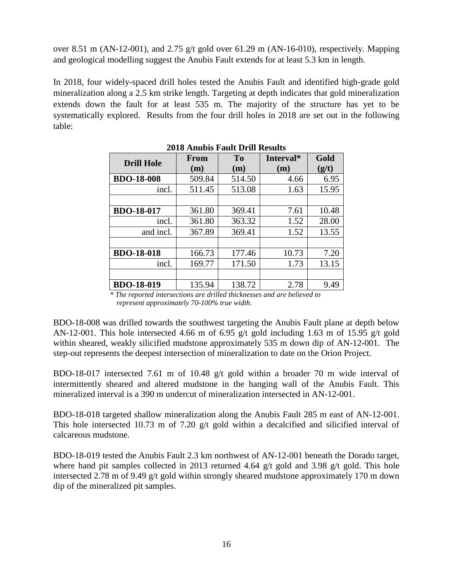over 8.51 m (AN-12-001), and 2.75 g/t gold over 61.29 m (AN-16-010), respectively. Mapping and geological modelling suggest the Anubis Fault extends for at least 5.3 km in length.

In 2018, four widely-spaced drill holes tested the Anubis Fault and identified high-grade gold mineralization along a 2.5 km strike length. Targeting at depth indicates that gold mineralization extends down the fault for at least 535 m. The majority of the structure has yet to be systematically explored. Results from the four drill holes in 2018 are set out in the following table:

|                   | From   | To     | Interval* | Gold  |
|-------------------|--------|--------|-----------|-------|
| <b>Drill Hole</b> | (m)    | (m)    | (m)       | (g/t) |
| <b>BDO-18-008</b> | 509.84 | 514.50 | 4.66      | 6.95  |
| incl.             | 511.45 | 513.08 | 1.63      | 15.95 |
|                   |        |        |           |       |
| <b>BDO-18-017</b> | 361.80 | 369.41 | 7.61      | 10.48 |
| incl.             | 361.80 | 363.32 | 1.52      | 28.00 |
| and incl.         | 367.89 | 369.41 | 1.52      | 13.55 |
|                   |        |        |           |       |
| <b>BDO-18-018</b> | 166.73 | 177.46 | 10.73     | 7.20  |
| incl.             | 169.77 | 171.50 | 1.73      | 13.15 |
|                   |        |        |           |       |
| <b>BDO-18-019</b> | 135.94 | 138.72 | 2.78      | 9.49  |

**2018 Anubis Fault Drill Results**

*\* The reported intersections are drilled thicknesses and are believed to represent approximately 70-100% true width.*

BDO-18-008 was drilled towards the southwest targeting the Anubis Fault plane at depth below AN-12-001. This hole intersected 4.66 m of 6.95 g/t gold including 1.63 m of 15.95 g/t gold within sheared, weakly silicified mudstone approximately 535 m down dip of AN-12-001. The step-out represents the deepest intersection of mineralization to date on the Orion Project.

BDO-18-017 intersected 7.61 m of 10.48 g/t gold within a broader 70 m wide interval of intermittently sheared and altered mudstone in the hanging wall of the Anubis Fault. This mineralized interval is a 390 m undercut of mineralization intersected in AN-12-001.

BDO-18-018 targeted shallow mineralization along the Anubis Fault 285 m east of AN-12-001. This hole intersected 10.73 m of 7.20 g/t gold within a decalcified and silicified interval of calcareous mudstone.

BDO-18-019 tested the Anubis Fault 2.3 km northwest of AN-12-001 beneath the Dorado target, where hand pit samples collected in 2013 returned 4.64 g/t gold and 3.98 g/t gold. This hole intersected 2.78 m of 9.49 g/t gold within strongly sheared mudstone approximately 170 m down dip of the mineralized pit samples.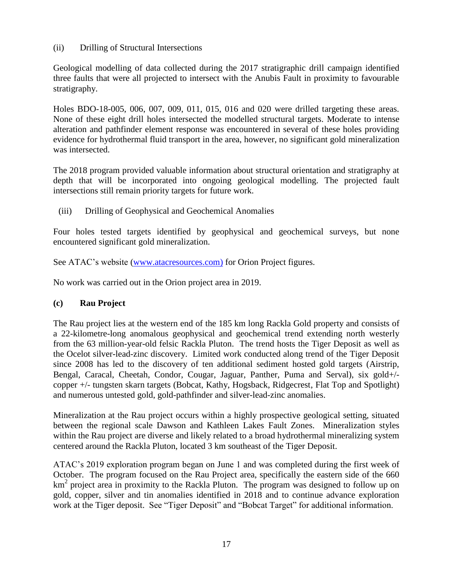(ii) Drilling of Structural Intersections

Geological modelling of data collected during the 2017 stratigraphic drill campaign identified three faults that were all projected to intersect with the Anubis Fault in proximity to favourable stratigraphy.

Holes BDO-18-005, 006, 007, 009, 011, 015, 016 and 020 were drilled targeting these areas. None of these eight drill holes intersected the modelled structural targets. Moderate to intense alteration and pathfinder element response was encountered in several of these holes providing evidence for hydrothermal fluid transport in the area, however, no significant gold mineralization was intersected.

The 2018 program provided valuable information about structural orientation and stratigraphy at depth that will be incorporated into ongoing geological modelling. The projected fault intersections still remain priority targets for future work.

(iii) Drilling of Geophysical and Geochemical Anomalies

Four holes tested targets identified by geophysical and geochemical surveys, but none encountered significant gold mineralization.

See ATAC's website [\(www.atacresources.com\)](http://www.atacresources.com/) for Orion Project figures.

No work was carried out in the Orion project area in 2019.

### **(c) Rau Project**

The [Rau project](http://www.atacresources.com/projects/rackla/rau-trend) lies at the western end of the 185 km long Rackla Gold property and consists of a 22-kilometre-long anomalous geophysical and geochemical trend extending north westerly from the 63 million-year-old felsic Rackla Pluton. The trend hosts the Tiger Deposit as well as the Ocelot silver-lead-zinc discovery. Limited work conducted along trend of the Tiger Deposit since 2008 has led to the discovery of ten additional sediment hosted gold targets (Airstrip, Bengal, Caracal, Cheetah, Condor, Cougar, Jaguar, Panther, Puma and Serval), six gold+/ copper +/- tungsten skarn targets (Bobcat, Kathy, Hogsback, Ridgecrest, Flat Top and Spotlight) and numerous untested gold, gold-pathfinder and silver-lead-zinc anomalies.

Mineralization at the Rau project occurs within a highly prospective geological setting, situated between the regional scale Dawson and Kathleen Lakes Fault Zones. Mineralization styles within the Rau project are diverse and likely related to a broad hydrothermal mineralizing system centered around the Rackla Pluton, located 3 km southeast of the Tiger Deposit.

ATAC's 2019 exploration program began on June 1 and was completed during the first week of October. The program focused on the Rau Project area, specifically the eastern side of the 660 km<sup>2</sup> project area in proximity to the Rackla Pluton. The program was designed to follow up on gold, copper, silver and tin anomalies identified in 2018 and to continue advance exploration work at the Tiger deposit. See "Tiger Deposit" and "Bobcat Target" for additional information.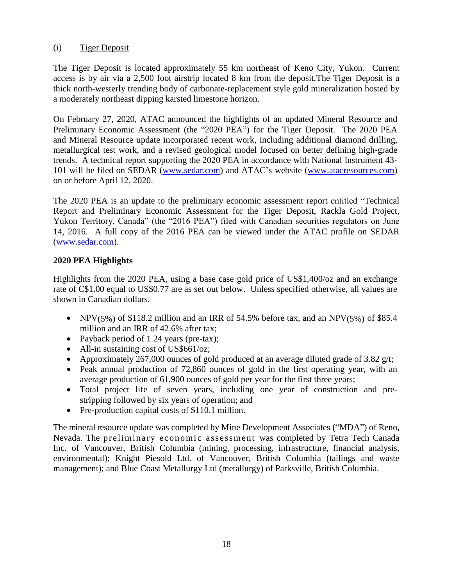### (i) Tiger Deposit

The Tiger Deposit is located approximately 55 km northeast of Keno City, Yukon. Current access is by air via a 2,500 foot airstrip located 8 km from the deposit.The Tiger Deposit is a thick north-westerly trending body of carbonate-replacement style gold mineralization hosted by a moderately northeast dipping karsted limestone horizon.

On February 27, 2020, ATAC announced the highlights of an updated Mineral Resource and Preliminary Economic Assessment (the "2020 PEA") for the Tiger Deposit. The 2020 PEA and Mineral Resource update incorporated recent work, including additional diamond drilling, metallurgical test work, and a revised geological model focused on better defining high-grade trends. A technical report supporting the 2020 PEA in accordance with National Instrument 43- 101 will be filed on SEDAR [\(www.sedar.com\)](http://www.sedar.com/) and ATAC's website [\(www.atacresources.com\)](http://www.atacresources.com/) on or before April 12, 2020.

The 2020 PEA is an update to the preliminary economic assessment report entitled "Technical Report and Preliminary Economic Assessment for the Tiger Deposit, Rackla Gold Project, Yukon Territory, Canada" (the "2016 PEA") filed with Canadian securities regulators on June 14, 2016. A full copy of the 2016 PEA can be viewed under the ATAC profile on SEDAR [\(www.sedar.com\)](http://www.sedar.com/).

# **2020 PEA Highlights**

Highlights from the 2020 PEA, using a base case gold price of US\$1,400/oz and an exchange rate of C\$1.00 equal to US\$0.77 are as set out below. Unless specified otherwise, all values are shown in Canadian dollars.

- NPV(5%) of \$118.2 million and an IRR of 54.5% before tax, and an NPV(5%) of \$85.4 million and an IRR of 42.6% after tax;
- Payback period of 1.24 years (pre-tax);
- All-in sustaining cost of US\$661/oz;
- Approximately 267,000 ounces of gold produced at an average diluted grade of 3.82  $g/t$ ;
- Peak annual production of 72,860 ounces of gold in the first operating year, with an average production of 61,900 ounces of gold per year for the first three years;
- Total project life of seven years, including one year of construction and prestripping followed by six years of operation; and
- Pre-production capital costs of \$110.1 million.

The mineral resource update was completed by Mine Development Associates ("MDA") of Reno, Nevada. The preliminary economic assessment was completed by Tetra Tech Canada Inc. of Vancouver, British Columbia (mining, processing, infrastructure, financial analysis, environmental); Knight Piesold Ltd. of Vancouver, British Columbia (tailings and waste management); and Blue Coast Metallurgy Ltd (metallurgy) of Parksville, British Columbia.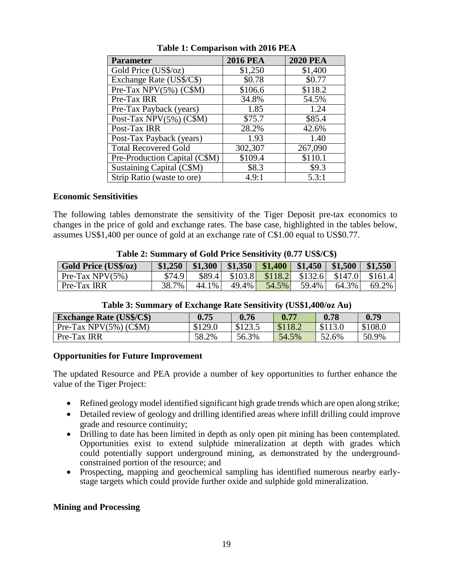| Parameter                        | <b>2016 PEA</b> | <b>2020 PEA</b> |
|----------------------------------|-----------------|-----------------|
| Gold Price (US\$/oz)             | \$1,250         | \$1,400         |
| Exchange Rate (US\$/C\$)         | \$0.78          | \$0.77          |
| Pre-Tax NPV(5%) (C\$M)           | \$106.6         | \$118.2         |
| Pre-Tax IRR                      | 34.8%           | 54.5%           |
| Pre-Tax Payback (years)          | 1.85            | 1.24            |
| Post-Tax NPV $(5\%)$ (C\$M)      | \$75.7          | \$85.4          |
| Post-Tax IRR                     | 28.2%           | 42.6%           |
| Post-Tax Payback (years)         | 1.93            | 1.40            |
| <b>Total Recovered Gold</b>      | 302,307         | 267,090         |
| Pre-Production Capital (C\$M)    | \$109.4         | \$110.1         |
| <b>Sustaining Capital (C\$M)</b> | \$8.3           | \$9.3           |
| Strip Ratio (waste to ore)       | 4.9:1           | 5.3:1           |

**Table 1: Comparison with 2016 PEA**

#### **Economic Sensitivities**

The following tables demonstrate the sensitivity of the Tiger Deposit pre-tax economics to changes in the price of gold and exchange rates. The base case, highlighted in the tables below, assumes US\$1,400 per ounce of gold at an exchange rate of C\$1.00 equal to US\$0.77.

| Table 2: Summary of Gold Price Sensitivity (0.77 US\$/C\$) |  |  |  |  |
|------------------------------------------------------------|--|--|--|--|
|------------------------------------------------------------|--|--|--|--|

| <b>Gold Price (US\$/oz)</b> | \$1,250 |       |          | $$1,300$   \$1,350   \$1,400   \$1,450   \$1,500   \$1,550     |       |       |          |
|-----------------------------|---------|-------|----------|----------------------------------------------------------------|-------|-------|----------|
| Pre-Tax NPV $(5\%)$         | \$74.9  |       |          | \$89.4 \ \ \$103.8 \ \ \$118.2 \ \ \$132.6 \ \$147.0 \ \$161.4 |       |       |          |
| Pre-Tax IRR                 | 38.7%   | 44.1% | $49.4\%$ | 54.5%                                                          | 59.4% | 64.3% | $69.2\%$ |

| <b>Exchange Rate (US\$/C\$)</b> | 0.75    | 0.76    | 0.77    | 0.78    | 0.79    |  |
|---------------------------------|---------|---------|---------|---------|---------|--|
| Pre-Tax NPV $(5\%)$ (C\$M)      | \$129.0 | \$123.5 | \$118.2 | \$113.0 | \$108.0 |  |
| Pre-Tax IRR                     | 58.2%   | 56.3%   | 54.5%   | 52.6%   | 50.9%   |  |

#### **Table 3: Summary of Exchange Rate Sensitivity (US\$1,400/oz Au)**

#### **Opportunities for Future Improvement**

The updated Resource and PEA provide a number of key opportunities to further enhance the value of the Tiger Project:

- Refined geology model identified significant high grade trends which are open along strike;
- Detailed review of geology and drilling identified areas where infill drilling could improve grade and resource continuity;
- Drilling to date has been limited in depth as only open pit mining has been contemplated. Opportunities exist to extend sulphide mineralization at depth with grades which could potentially support underground mining, as demonstrated by the undergroundconstrained portion of the resource; and
- Prospecting, mapping and geochemical sampling has identified numerous nearby earlystage targets which could provide further oxide and sulphide gold mineralization.

#### **Mining and Processing**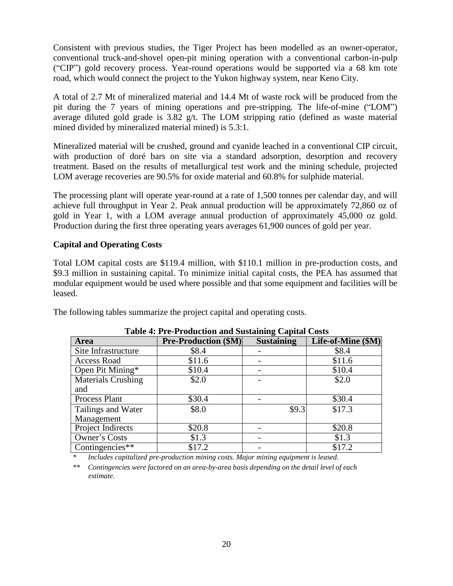Consistent with previous studies, the Tiger Project has been modelled as an owner-operator, conventional truck-and-shovel open-pit mining operation with a conventional carbon-in-pulp ("CIP") gold recovery process. Year-round operations would be supported via a 68 km tote road, which would connect the project to the Yukon highway system, near Keno City.

A total of 2.7 Mt of mineralized material and 14.4 Mt of waste rock will be produced from the pit during the 7 years of mining operations and pre-stripping. The life-of-mine ("LOM") average diluted gold grade is 3.82 g/t. The LOM stripping ratio (defined as waste material mined divided by mineralized material mined) is 5.3:1.

Mineralized material will be crushed, ground and cyanide leached in a conventional CIP circuit, with production of doré bars on site via a standard adsorption, desorption and recovery treatment. Based on the results of metallurgical test work and the mining schedule, projected LOM average recoveries are 90.5% for oxide material and 60.8% for sulphide material.

The processing plant will operate year-round at a rate of 1,500 tonnes per calendar day, and will achieve full throughput in Year 2. Peak annual production will be approximately 72,860 oz of gold in Year 1, with a LOM average annual production of approximately 45,000 oz gold. Production during the first three operating years averages 61,900 ounces of gold per year.

#### **Capital and Operating Costs**

Total LOM capital costs are \$119.4 million, with \$110.1 million in pre-production costs, and \$9.3 million in sustaining capital. To minimize initial capital costs, the PEA has assumed that modular equipment would be used where possible and that some equipment and facilities will be leased.

The following tables summarize the project capital and operating costs.

|                           | ---- - - - - - -            |                   |                    |  |  |  |  |  |
|---------------------------|-----------------------------|-------------------|--------------------|--|--|--|--|--|
| <b>Area</b>               | <b>Pre-Production (\$M)</b> | <b>Sustaining</b> | Life-of-Mine (\$M) |  |  |  |  |  |
| Site Infrastructure       | \$8.4                       |                   | \$8.4              |  |  |  |  |  |
| Access Road               | \$11.6                      |                   | \$11.6             |  |  |  |  |  |
| Open Pit Mining*          | \$10.4                      |                   | \$10.4             |  |  |  |  |  |
| <b>Materials Crushing</b> | \$2.0                       |                   | \$2.0              |  |  |  |  |  |
| and                       |                             |                   |                    |  |  |  |  |  |
| Process Plant             | \$30.4                      |                   | \$30.4             |  |  |  |  |  |
| Tailings and Water        | \$8.0                       | \$9.3             | \$17.3             |  |  |  |  |  |
| Management                |                             |                   |                    |  |  |  |  |  |
| Project Indirects         | \$20.8                      |                   | \$20.8             |  |  |  |  |  |
| Owner's Costs             | \$1.3                       |                   | \$1.3              |  |  |  |  |  |
| Contingencies **          | \$17.2                      |                   | \$17.2             |  |  |  |  |  |

|  |  |  |  | <b>Table 4: Pre-Production and Sustaining Capital Costs</b> |  |
|--|--|--|--|-------------------------------------------------------------|--|
|--|--|--|--|-------------------------------------------------------------|--|

*\* Includes capitalized pre-production mining costs. Major mining equipment is leased.*

*\*\* Contingencies were factored on an area-by-area basis depending on the detail level of each estimate.*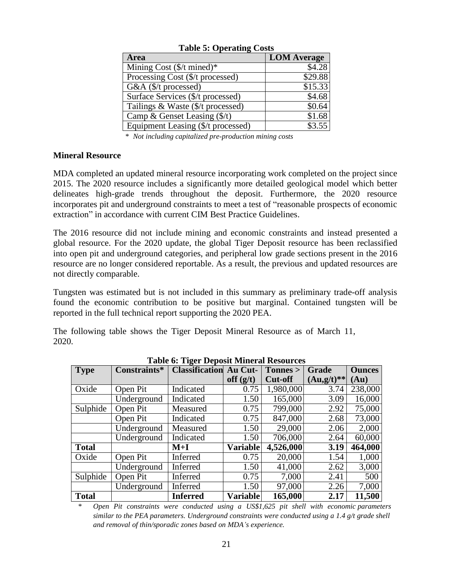| <b>Area</b>                           | <b>LOM Average</b> |  |  |  |
|---------------------------------------|--------------------|--|--|--|
| Mining Cost $(\frac{C}{T})$ mined)*   | \$4.28             |  |  |  |
| Processing Cost (\$/t processed)      | \$29.88            |  |  |  |
| G&A (\$/t processed)                  | \$15.33            |  |  |  |
| Surface Services (\$/t processed)     | \$4.68             |  |  |  |
| Tailings & Waste (\$/t processed)     | \$0.64             |  |  |  |
| Camp & Genset Leasing $(\frac{f}{f})$ | \$1.68             |  |  |  |
| Equipment Leasing (\$/t processed)    | \$3.55             |  |  |  |

**Table 5: Operating Costs**

*\* Not including capitalized pre-production mining costs*

#### **Mineral Resource**

MDA completed an updated mineral resource incorporating work completed on the project since 2015. The 2020 resource includes a significantly more detailed geological model which better delineates high-grade trends throughout the deposit. Furthermore, the 2020 resource incorporates pit and underground constraints to meet a test of "reasonable prospects of economic extraction" in accordance with current CIM Best Practice Guidelines.

The 2016 resource did not include mining and economic constraints and instead presented a global resource. For the 2020 update, the global Tiger Deposit resource has been reclassified into open pit and underground categories, and peripheral low grade sections present in the 2016 resource are no longer considered reportable. As a result, the previous and updated resources are not directly comparable.

Tungsten was estimated but is not included in this summary as preliminary trade-off analysis found the economic contribution to be positive but marginal. Contained tungsten will be reported in the full technical report supporting the 2020 PEA.

The following table shows the Tiger Deposit Mineral Resource as of March 11, 2020.

| <b>Type</b>  | Constraints* | <b>Classification</b> | Au Cut-         | Tonnes >       | <b>Grade</b>   | <b>Ounces</b> |
|--------------|--------------|-----------------------|-----------------|----------------|----------------|---------------|
|              |              |                       | off $(g/t)$     | <b>Cut-off</b> | $(Au, g/t)$ ** | (Au)          |
| Oxide        | Open Pit     | Indicated             | 0.75            | 1,980,000      | 3.74           | 238,000       |
|              | Underground  | Indicated             | 1.50            | 165,000        | 3.09           | 16,000        |
| Sulphide     | Open Pit     | Measured              | 0.75            | 799,000        | 2.92           | 75,000        |
|              | Open Pit     | Indicated             | 0.75            | 847,000        | 2.68           | 73,000        |
|              | Underground  | Measured              | 1.50            | 29,000         | 2.06           | 2,000         |
|              | Underground  | Indicated             | 1.50            | 706,000        | 2.64           | 60,000        |
| <b>Total</b> |              | $M+I$                 | <b>Variable</b> | 4,526,000      | 3.19           | 464,000       |
| Oxide        | Open Pit     | Inferred              | 0.75            | 20,000         | 1.54           | 1,000         |
|              | Underground  | Inferred              | 1.50            | 41,000         | 2.62           | 3,000         |
| Sulphide     | Open Pit     | Inferred              | 0.75            | 7,000          | 2.41           | 500           |
|              | Underground  | Inferred              | 1.50            | 97,000         | 2.26           | 7,000         |
| <b>Total</b> |              | <b>Inferred</b>       | <b>Variable</b> | 165,000        | 2.17           | 11,500        |

**Table 6: Tiger Deposit Mineral Resources**

*\* Open Pit constraints were conducted using a US\$1,625 pit shell with economic parameters similar to the PEA parameters. Underground constraints were conducted using a 1.4 g/t grade shell and removal of thin/sporadic zones based on MDA's experience.*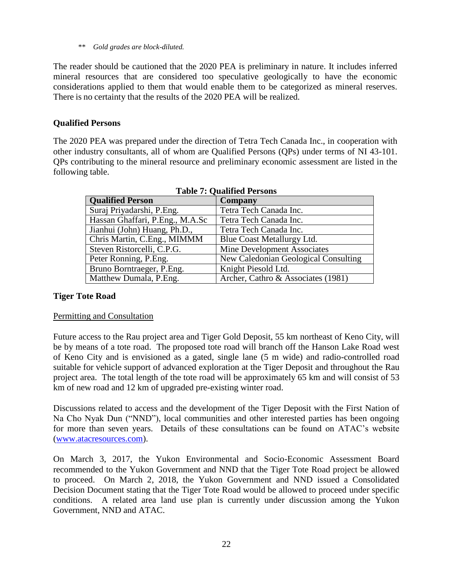*\*\* Gold grades are block-diluted.*

The reader should be cautioned that the 2020 PEA is preliminary in nature. It includes inferred mineral resources that are considered too speculative geologically to have the economic considerations applied to them that would enable them to be categorized as mineral reserves. There is no certainty that the results of the 2020 PEA will be realized.

### **Qualified Persons**

The 2020 PEA was prepared under the direction of Tetra Tech Canada Inc., in cooperation with other industry consultants, all of whom are Qualified Persons (QPs) under terms of NI 43-101. QPs contributing to the mineral resource and preliminary economic assessment are listed in the following table.

| <b>Oualified Person</b>         | Company                              |
|---------------------------------|--------------------------------------|
| Suraj Priyadarshi, P.Eng.       | Tetra Tech Canada Inc.               |
| Hassan Ghaffari, P.Eng., M.A.Sc | Tetra Tech Canada Inc.               |
| Jianhui (John) Huang, Ph.D.,    | Tetra Tech Canada Inc.               |
| Chris Martin, C.Eng., MIMMM     | Blue Coast Metallurgy Ltd.           |
| Steven Ristorcelli, C.P.G.      | Mine Development Associates          |
| Peter Ronning, P.Eng.           | New Caledonian Geological Consulting |
| Bruno Borntraeger, P.Eng.       | Knight Piesold Ltd.                  |
| Matthew Dumala, P.Eng.          | Archer, Cathro & Associates (1981)   |
|                                 |                                      |

#### **Tiger Tote Road**

#### Permitting and Consultation

Future access to the Rau project area and Tiger Gold Deposit, 55 km northeast of Keno City, will be by means of a tote road. The proposed tote road will branch off the Hanson Lake Road west of Keno City and is envisioned as a gated, single lane (5 m wide) and radio-controlled road suitable for vehicle support of advanced exploration at the Tiger Deposit and throughout the Rau project area. The total length of the tote road will be approximately 65 km and will consist of 53 km of new road and 12 km of upgraded pre-existing winter road.

Discussions related to access and the development of the Tiger Deposit with the First Nation of Na Cho Nyak Dun ("NND"), local communities and other interested parties has been ongoing for more than seven years. Details of these consultations can be found on ATAC's website [\(www.atacresources.com\)](http://www.atacresources.com/).

On March 3, 2017, the Yukon Environmental and Socio-Economic Assessment Board recommended to the Yukon Government and NND that the Tiger Tote Road project be allowed to proceed. On March 2, 2018, the Yukon Government and NND issued a Consolidated Decision Document stating that the Tiger Tote Road would be allowed to proceed under specific conditions. A related area land use plan is currently under discussion among the Yukon Government, NND and ATAC.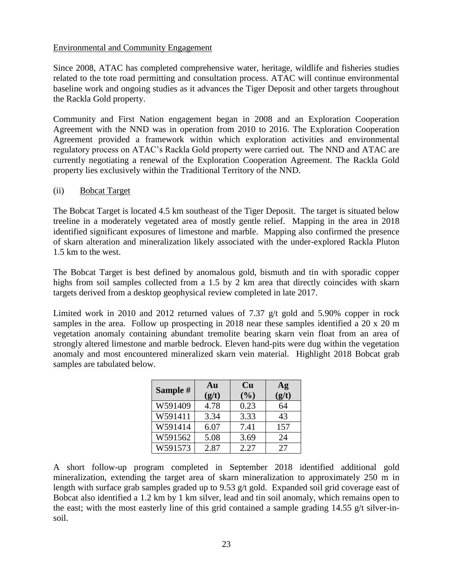#### Environmental and Community Engagement

Since 2008, ATAC has completed comprehensive water, heritage, wildlife and fisheries studies related to the tote road permitting and consultation process. ATAC will continue environmental baseline work and ongoing studies as it advances the Tiger Deposit and other targets throughout the Rackla Gold property.

Community and First Nation engagement began in 2008 and an Exploration Cooperation Agreement with the NND was in operation from 2010 to 2016. The Exploration Cooperation Agreement provided a framework within which exploration activities and environmental regulatory process on ATAC's Rackla Gold property were carried out. The NND and ATAC are currently negotiating a renewal of the Exploration Cooperation Agreement. The Rackla Gold property lies exclusively within the Traditional Territory of the NND.

#### (ii) Bobcat Target

The Bobcat Target is located 4.5 km southeast of the Tiger Deposit. The target is situated below treeline in a moderately vegetated area of mostly gentle relief. Mapping in the area in 2018 identified significant exposures of limestone and marble. Mapping also confirmed the presence of skarn alteration and mineralization likely associated with the under-explored Rackla Pluton 1.5 km to the west.

The Bobcat Target is best defined by anomalous gold, bismuth and tin with sporadic copper highs from soil samples collected from a 1.5 by 2 km area that directly coincides with skarn targets derived from a desktop geophysical review completed in late 2017.

Limited work in 2010 and 2012 returned values of 7.37 g/t gold and 5.90% copper in rock samples in the area. Follow up prospecting in 2018 near these samples identified a 20 x 20 m vegetation anomaly containing abundant tremolite bearing skarn vein float from an area of strongly altered limestone and marble bedrock. Eleven hand-pits were dug within the vegetation anomaly and most encountered mineralized skarn vein material. Highlight 2018 Bobcat grab samples are tabulated below.

| Sample # | Au<br>(g/t) | <b>Cu</b><br>(%) | Ag<br>(g/t) |
|----------|-------------|------------------|-------------|
| W591409  | 4.78        | 0.23             | 64          |
| W591411  | 3.34        | 3.33             | 43          |
| W591414  | 6.07        | 7.41             | 157         |
| W591562  | 5.08        | 3.69             | 24          |
| W591573  | 2.87        | 2.27             | 27          |

A short follow-up program completed in September 2018 identified additional gold mineralization, extending the target area of skarn mineralization to approximately 250 m in length with surface grab samples graded up to 9.53 g/t gold. Expanded soil grid coverage east of Bobcat also identified a 1.2 km by 1 km silver, lead and tin soil anomaly, which remains open to the east; with the most easterly line of this grid contained a sample grading 14.55 g/t silver-insoil.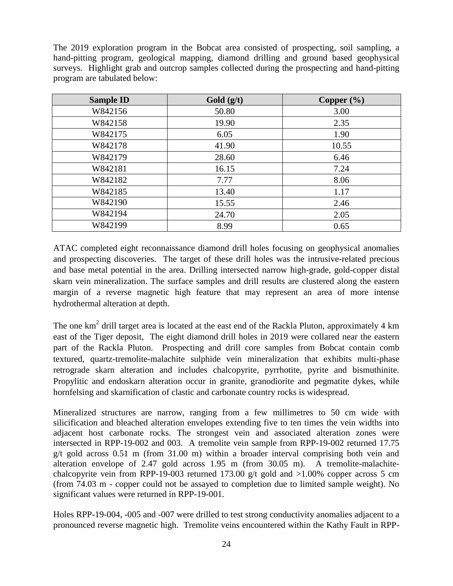The 2019 exploration program in the Bobcat area consisted of prospecting, soil sampling, a hand-pitting program, geological mapping, diamond drilling and ground based geophysical surveys. Highlight grab and outcrop samples collected during the prospecting and hand-pitting program are tabulated below:

| <b>Sample ID</b> | Gold $(g/t)$ | Copper $(\%)$ |
|------------------|--------------|---------------|
| W842156          | 50.80        | 3.00          |
| W842158          | 19.90        | 2.35          |
| W842175          | 6.05         | 1.90          |
| W842178          | 41.90        | 10.55         |
| W842179          | 28.60        | 6.46          |
| W842181          | 16.15        | 7.24          |
| W842182          | 7.77         | 8.06          |
| W842185          | 13.40        | 1.17          |
| W842190          | 15.55        | 2.46          |
| W842194          | 24.70        | 2.05          |
| W842199          | 8.99         | 0.65          |

ATAC completed eight reconnaissance diamond drill holes focusing on geophysical anomalies and prospecting discoveries. The target of these drill holes was the intrusive-related precious and base metal potential in the area. Drilling intersected narrow high-grade, gold-copper distal skarn vein mineralization. The surface samples and drill results are clustered along the eastern margin of a reverse magnetic high feature that may represent an area of more intense hydrothermal alteration at depth.

The one  $km^2$  drill target area is located at the east end of the Rackla Pluton, approximately 4 km east of the Tiger deposit, The eight diamond drill holes in 2019 were collared near the eastern part of the Rackla Pluton. Prospecting and drill core samples from Bobcat contain comb textured, quartz-tremolite-malachite sulphide vein mineralization that exhibits multi-phase retrograde skarn alteration and includes chalcopyrite, pyrrhotite, pyrite and bismuthinite. Propylitic and endoskarn alteration occur in granite, granodiorite and pegmatite dykes, while hornfelsing and skarnification of clastic and carbonate country rocks is widespread.

Mineralized structures are narrow, ranging from a few millimetres to 50 cm wide with silicification and bleached alteration envelopes extending five to ten times the vein widths into adjacent host carbonate rocks. The strongest vein and associated alteration zones were intersected in RPP-19-002 and 003. A tremolite vein sample from RPP-19-002 returned 17.75 g/t gold across 0.51 m (from 31.00 m) within a broader interval comprising both vein and alteration envelope of 2.47 gold across 1.95 m (from 30.05 m). A tremolite-malachitechalcopyrite vein from RPP-19-003 returned 173.00 g/t gold and  $>1.00\%$  copper across 5 cm (from 74.03 m - copper could not be assayed to completion due to limited sample weight). No significant values were returned in RPP-19-001.

Holes RPP-19-004, -005 and -007 were drilled to test strong conductivity anomalies adjacent to a pronounced reverse magnetic high. Tremolite veins encountered within the Kathy Fault in RPP-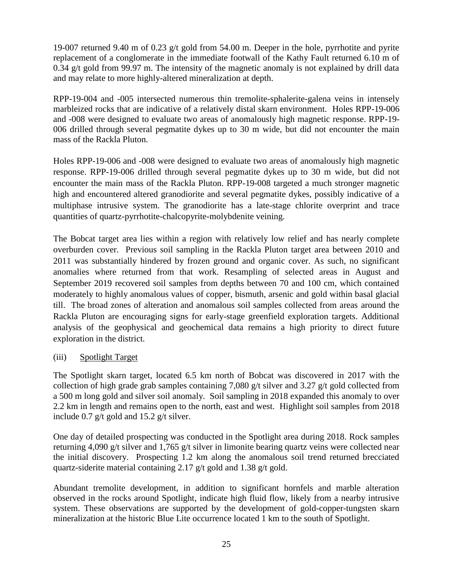19-007 returned 9.40 m of 0.23 g/t gold from 54.00 m. Deeper in the hole, pyrrhotite and pyrite replacement of a conglomerate in the immediate footwall of the Kathy Fault returned 6.10 m of 0.34 g/t gold from 99.97 m. The intensity of the magnetic anomaly is not explained by drill data and may relate to more highly-altered mineralization at depth.

RPP-19-004 and -005 intersected numerous thin tremolite-sphalerite-galena veins in intensely marbleized rocks that are indicative of a relatively distal skarn environment. Holes RPP-19-006 and -008 were designed to evaluate two areas of anomalously high magnetic response. RPP-19- 006 drilled through several pegmatite dykes up to 30 m wide, but did not encounter the main mass of the Rackla Pluton.

Holes RPP-19-006 and -008 were designed to evaluate two areas of anomalously high magnetic response. RPP-19-006 drilled through several pegmatite dykes up to 30 m wide, but did not encounter the main mass of the Rackla Pluton. RPP-19-008 targeted a much stronger magnetic high and encountered altered granodiorite and several pegmatite dykes, possibly indicative of a multiphase intrusive system. The granodiorite has a late-stage chlorite overprint and trace quantities of quartz-pyrrhotite-chalcopyrite-molybdenite veining.

The Bobcat target area lies within a region with relatively low relief and has nearly complete overburden cover. Previous soil sampling in the Rackla Pluton target area between 2010 and 2011 was substantially hindered by frozen ground and organic cover. As such, no significant anomalies where returned from that work. Resampling of selected areas in August and September 2019 recovered soil samples from depths between 70 and 100 cm, which contained moderately to highly anomalous values of copper, bismuth, arsenic and gold within basal glacial till. The broad zones of alteration and anomalous soil samples collected from areas around the Rackla Pluton are encouraging signs for early-stage greenfield exploration targets. Additional analysis of the geophysical and geochemical data remains a high priority to direct future exploration in the district.

### (iii) Spotlight Target

The Spotlight skarn target, located 6.5 km north of Bobcat was discovered in 2017 with the collection of high grade grab samples containing 7,080 g/t silver and 3.27 g/t gold collected from a 500 m long gold and silver soil anomaly. Soil sampling in 2018 expanded this anomaly to over 2.2 km in length and remains open to the north, east and west. Highlight soil samples from 2018 include 0.7 g/t gold and 15.2 g/t silver.

One day of detailed prospecting was conducted in the Spotlight area during 2018. Rock samples returning 4,090 g/t silver and 1,765 g/t silver in limonite bearing quartz veins were collected near the initial discovery. Prospecting 1.2 km along the anomalous soil trend returned brecciated quartz-siderite material containing 2.17 g/t gold and 1.38 g/t gold.

Abundant tremolite development, in addition to significant hornfels and marble alteration observed in the rocks around Spotlight, indicate high fluid flow, likely from a nearby intrusive system. These observations are supported by the development of gold-copper-tungsten skarn mineralization at the historic Blue Lite occurrence located 1 km to the south of Spotlight.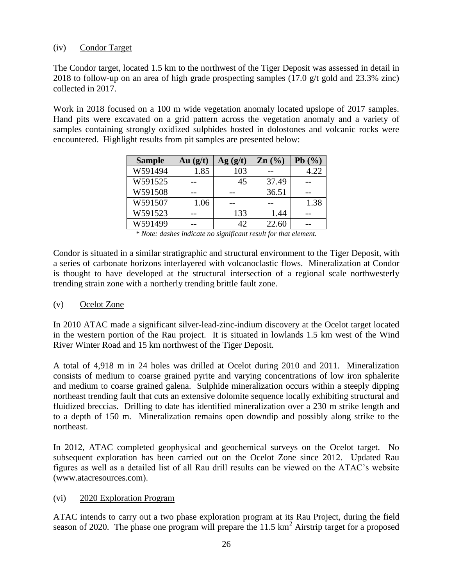#### (iv) Condor Target

The Condor target, located 1.5 km to the northwest of the Tiger Deposit was assessed in detail in 2018 to follow-up on an area of high grade prospecting samples (17.0 g/t gold and 23.3% zinc) collected in 2017.

Work in 2018 focused on a 100 m wide vegetation anomaly located upslope of 2017 samples. Hand pits were excavated on a grid pattern across the vegetation anomaly and a variety of samples containing strongly oxidized sulphides hosted in dolostones and volcanic rocks were encountered. Highlight results from pit samples are presented below:

| <b>Sample</b> | Au(g/t) | $\mathbf{Ag}(\mathbf{g}/\mathbf{t})$ | $\text{Zn}$ $\left(\frac{0}{0}\right)$ | Pb(%) |
|---------------|---------|--------------------------------------|----------------------------------------|-------|
| W591494       | 1.85    | 103                                  |                                        | 4.22  |
| W591525       |         | 45                                   | 37.49                                  |       |
| W591508       |         |                                      | 36.51                                  |       |
| W591507       | 1.06    |                                      |                                        | 1.38  |
| W591523       |         | 133                                  | 1.44                                   |       |
| W591499       |         | 42                                   | 22.60                                  |       |

*\* Note: dashes indicate no significant result for that element.*

Condor is situated in a similar stratigraphic and structural environment to the Tiger Deposit, with a series of carbonate horizons interlayered with volcanoclastic flows. Mineralization at Condor is thought to have developed at the structural intersection of a regional scale northwesterly trending strain zone with a northerly trending brittle fault zone.

#### (v) Ocelot Zone

In 2010 ATAC made a significant silver-lead-zinc-indium discovery at the Ocelot target located in the western portion of the Rau project. It is situated in lowlands 1.5 km west of the Wind River Winter Road and 15 km northwest of the Tiger Deposit.

A total of 4,918 m in 24 holes was drilled at Ocelot during 2010 and 2011. Mineralization consists of medium to coarse grained pyrite and varying concentrations of low iron sphalerite and medium to coarse grained galena. Sulphide mineralization occurs within a steeply dipping northeast trending fault that cuts an extensive dolomite sequence locally exhibiting structural and fluidized breccias. Drilling to date has identified mineralization over a 230 m strike length and to a depth of 150 m. Mineralization remains open downdip and possibly along strike to the northeast.

In 2012, ATAC completed geophysical and geochemical surveys on the Ocelot target. No subsequent exploration has been carried out on the Ocelot Zone since 2012. Updated Rau figures as well as a detailed list of all Rau drill results can be viewed on the ATAC's website [\(www.atacresources.com\).](http://www.atacresources.com)./)

#### (vi) 2020 Exploration Program

ATAC intends to carry out a two phase exploration program at its Rau Project, during the field season of 2020. The phase one program will prepare the 11.5  $km^2$  Airstrip target for a proposed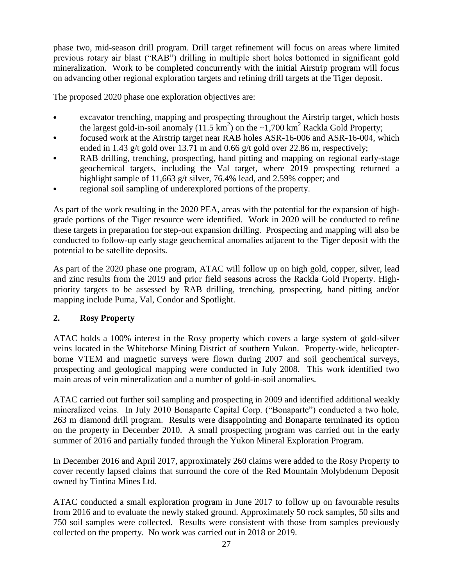phase two, mid-season drill program. Drill target refinement will focus on areas where limited previous rotary air blast ("RAB") drilling in multiple short holes bottomed in significant gold mineralization. Work to be completed concurrently with the initial Airstrip program will focus on advancing other regional exploration targets and refining drill targets at the Tiger deposit.

The proposed 2020 phase one exploration objectives are:

- excavator trenching, mapping and prospecting throughout the Airstrip target, which hosts the largest gold-in-soil anomaly (11.5 km<sup>2</sup>) on the  $\sim 1,700$  km<sup>2</sup> Rackla Gold Property;
- focused work at the Airstrip target near RAB holes ASR-16-006 and ASR-16-004, which ended in 1.43 g/t gold over 13.71 m and 0.66 g/t gold over 22.86 m, respectively;
- RAB drilling, trenching, prospecting, hand pitting and mapping on regional early-stage geochemical targets, including the Val target, where 2019 prospecting returned a highlight sample of 11,663 g/t silver, 76.4% lead, and 2.59% copper; and
- regional soil sampling of underexplored portions of the property.

As part of the work resulting in the 2020 PEA, areas with the potential for the expansion of highgrade portions of the Tiger resource were identified. Work in 2020 will be conducted to refine these targets in preparation for step-out expansion drilling. Prospecting and mapping will also be conducted to follow-up early stage geochemical anomalies adjacent to the Tiger deposit with the potential to be satellite deposits.

As part of the 2020 phase one program, ATAC will follow up on high gold, copper, silver, lead and zinc results from the 2019 and prior field seasons across the Rackla Gold Property. Highpriority targets to be assessed by RAB drilling, trenching, prospecting, hand pitting and/or mapping include Puma, Val, Condor and Spotlight.

# **2. Rosy Property**

ATAC holds a 100% interest in the Rosy property which covers a large system of gold-silver veins located in the Whitehorse Mining District of southern Yukon. Property-wide, helicopterborne VTEM and magnetic surveys were flown during 2007 and soil geochemical surveys, prospecting and geological mapping were conducted in July 2008. This work identified two main areas of vein mineralization and a number of gold-in-soil anomalies.

ATAC carried out further soil sampling and prospecting in 2009 and identified additional weakly mineralized veins. In July 2010 Bonaparte Capital Corp. ("Bonaparte") conducted a two hole, 263 m diamond drill program. Results were disappointing and Bonaparte terminated its option on the property in December 2010. A small prospecting program was carried out in the early summer of 2016 and partially funded through the Yukon Mineral Exploration Program.

In December 2016 and April 2017, approximately 260 claims were added to the Rosy Property to cover recently lapsed claims that surround the core of the Red Mountain Molybdenum Deposit owned by Tintina Mines Ltd.

ATAC conducted a small exploration program in June 2017 to follow up on favourable results from 2016 and to evaluate the newly staked ground. Approximately 50 rock samples, 50 silts and 750 soil samples were collected. Results were consistent with those from samples previously collected on the property. No work was carried out in 2018 or 2019.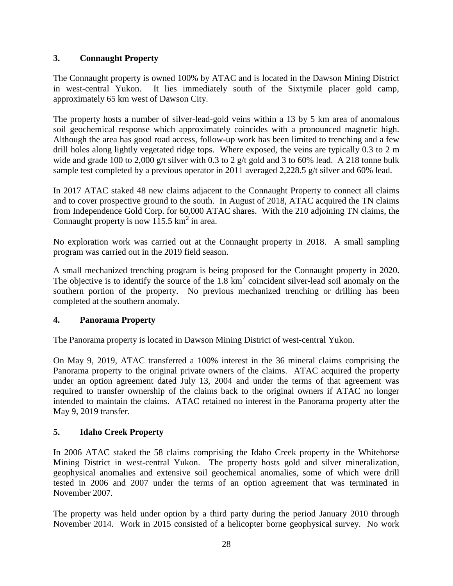### **3. Connaught Property**

The Connaught property is owned 100% by ATAC and is located in the Dawson Mining District in west-central Yukon. It lies immediately south of the Sixtymile placer gold camp, approximately 65 km west of Dawson City.

The property hosts a number of silver-lead-gold veins within a 13 by 5 km area of anomalous soil geochemical response which approximately coincides with a pronounced magnetic high. Although the area has good road access, follow-up work has been limited to trenching and a few drill holes along lightly vegetated ridge tops. Where exposed, the veins are typically 0.3 to 2 m wide and grade 100 to 2,000 g/t silver with 0.3 to 2 g/t gold and 3 to 60% lead. A 218 tonne bulk sample test completed by a previous operator in 2011 averaged 2,228.5 g/t silver and 60% lead.

In 2017 ATAC staked 48 new claims adjacent to the Connaught Property to connect all claims and to cover prospective ground to the south. In August of 2018, ATAC acquired the TN claims from Independence Gold Corp. for 60,000 ATAC shares. With the 210 adjoining TN claims, the Connaught property is now  $115.5 \text{ km}^2$  in area.

No exploration work was carried out at the Connaught property in 2018. A small sampling program was carried out in the 2019 field season.

A small mechanized trenching program is being proposed for the Connaught property in 2020. The objective is to identify the source of the  $1.8 \text{ km}^2$  coincident silver-lead soil anomaly on the southern portion of the property. No previous mechanized trenching or drilling has been completed at the southern anomaly.

### **4. Panorama Property**

The Panorama property is located in Dawson Mining District of west-central Yukon.

On May 9, 2019, ATAC transferred a 100% interest in the 36 mineral claims comprising the Panorama property to the original private owners of the claims. ATAC acquired the property under an option agreement dated July 13, 2004 and under the terms of that agreement was required to transfer ownership of the claims back to the original owners if ATAC no longer intended to maintain the claims. ATAC retained no interest in the Panorama property after the May 9, 2019 transfer.

### **5. Idaho Creek Property**

In 2006 ATAC staked the 58 claims comprising the Idaho Creek property in the Whitehorse Mining District in west-central Yukon. The property hosts gold and silver mineralization, geophysical anomalies and extensive soil geochemical anomalies, some of which were drill tested in 2006 and 2007 under the terms of an option agreement that was terminated in November 2007.

The property was held under option by a third party during the period January 2010 through November 2014. Work in 2015 consisted of a helicopter borne geophysical survey. No work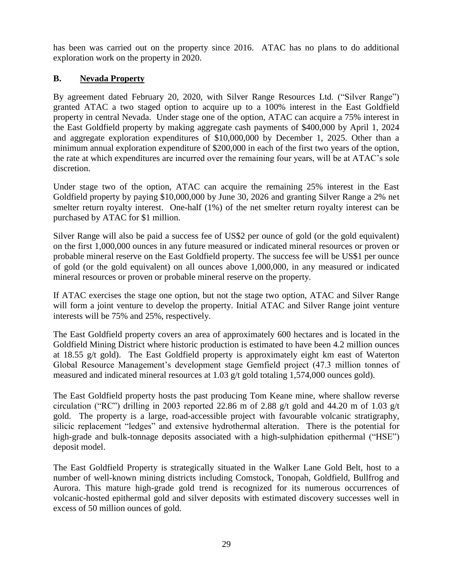has been was carried out on the property since 2016. ATAC has no plans to do additional exploration work on the property in 2020.

### **B. Nevada Property**

By agreement dated February 20, 2020, with Silver Range Resources Ltd. ("Silver Range") granted ATAC a two staged option to acquire up to a 100% interest in the East Goldfield property in central Nevada. Under stage one of the option, ATAC can acquire a 75% interest in the East Goldfield property by making aggregate cash payments of \$400,000 by April 1, 2024 and aggregate exploration expenditures of \$10,000,000 by December 1, 2025. Other than a minimum annual exploration expenditure of \$200,000 in each of the first two years of the option, the rate at which expenditures are incurred over the remaining four years, will be at ATAC's sole discretion.

Under stage two of the option, ATAC can acquire the remaining 25% interest in the East Goldfield property by paying \$10,000,000 by June 30, 2026 and granting Silver Range a 2% net smelter return royalty interest. One-half (1%) of the net smelter return royalty interest can be purchased by ATAC for \$1 million.

Silver Range will also be paid a success fee of US\$2 per ounce of gold (or the gold equivalent) on the first 1,000,000 ounces in any future measured or indicated mineral resources or proven or probable mineral reserve on the East Goldfield property. The success fee will be US\$1 per ounce of gold (or the gold equivalent) on all ounces above 1,000,000, in any measured or indicated mineral resources or proven or probable mineral reserve on the property.

If ATAC exercises the stage one option, but not the stage two option, ATAC and Silver Range will form a joint venture to develop the property. Initial ATAC and Silver Range joint venture interests will be 75% and 25%, respectively.

The East Goldfield property covers an area of approximately 600 hectares and is located in the Goldfield Mining District where historic production is estimated to have been 4.2 million ounces at 18.55 g/t gold). The East Goldfield property is approximately eight km east of Waterton Global Resource Management's development stage Gemfield project (47.3 million tonnes of measured and indicated mineral resources at 1.03 g/t gold totaling 1,574,000 ounces gold).

The East Goldfield property hosts the past producing Tom Keane mine, where shallow reverse circulation ("RC") drilling in 2003 reported 22.86 m of 2.88 g/t gold and 44.20 m of 1.03 g/t gold. The property is a large, road-accessible project with favourable volcanic stratigraphy, silicic replacement "ledges" and extensive hydrothermal alteration. There is the potential for high-grade and bulk-tonnage deposits associated with a high-sulphidation epithermal ("HSE") deposit model.

The East Goldfield Property is strategically situated in the Walker Lane Gold Belt, host to a number of well-known mining districts including Comstock, Tonopah, Goldfield, Bullfrog and Aurora. This mature high-grade gold trend is recognized for its numerous occurrences of volcanic-hosted epithermal gold and silver deposits with estimated discovery successes well in excess of 50 million ounces of gold.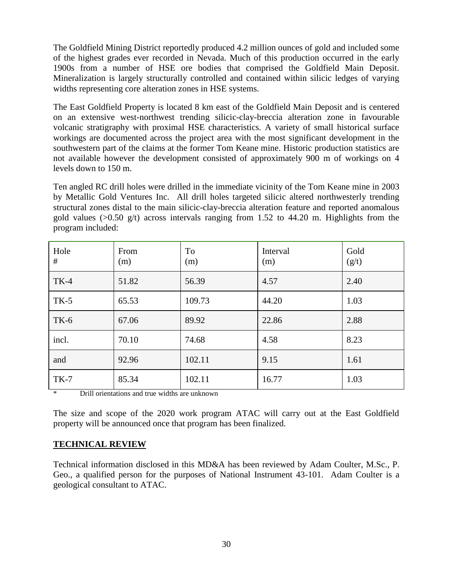The Goldfield Mining District reportedly produced 4.2 million ounces of gold and included some of the highest grades ever recorded in Nevada. Much of this production occurred in the early 1900s from a number of HSE ore bodies that comprised the Goldfield Main Deposit. Mineralization is largely structurally controlled and contained within silicic ledges of varying widths representing core alteration zones in HSE systems.

The East Goldfield Property is located 8 km east of the Goldfield Main Deposit and is centered on an extensive west-northwest trending silicic-clay-breccia alteration zone in favourable volcanic stratigraphy with proximal HSE characteristics. A variety of small historical surface workings are documented across the project area with the most significant development in the southwestern part of the claims at the former Tom Keane mine. Historic production statistics are not available however the development consisted of approximately 900 m of workings on 4 levels down to 150 m.

Ten angled RC drill holes were drilled in the immediate vicinity of the Tom Keane mine in 2003 by Metallic Gold Ventures Inc. All drill holes targeted silicic altered northwesterly trending structural zones distal to the main silicic-clay-breccia alteration feature and reported anomalous gold values ( $>0.50$  g/t) across intervals ranging from 1.52 to 44.20 m. Highlights from the program included:

| Hole<br># | From<br>(m) | To<br>(m) | Interval<br>(m) | Gold<br>(g/t) |
|-----------|-------------|-----------|-----------------|---------------|
| $TK-4$    | 51.82       | 56.39     | 4.57            | 2.40          |
| $TK-5$    | 65.53       | 109.73    | 44.20           | 1.03          |
| $TK-6$    | 67.06       | 89.92     | 22.86           | 2.88          |
| incl.     | 70.10       | 74.68     | 4.58            | 8.23          |
| and       | 92.96       | 102.11    | 9.15            | 1.61          |
| $TK-7$    | 85.34       | 102.11    | 16.77           | 1.03          |

Drill orientations and true widths are unknown

The size and scope of the 2020 work program ATAC will carry out at the East Goldfield property will be announced once that program has been finalized.

### **TECHNICAL REVIEW**

Technical information disclosed in this MD&A has been reviewed by Adam Coulter, M.Sc., P. Geo., a qualified person for the purposes of National Instrument 43-101. Adam Coulter is a geological consultant to ATAC.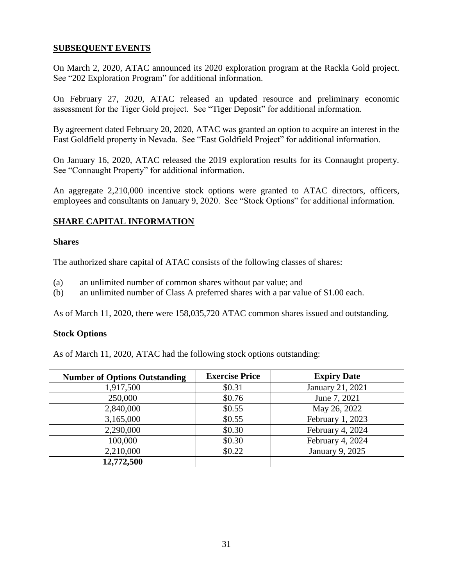#### **SUBSEQUENT EVENTS**

On March 2, 2020, ATAC announced its 2020 exploration program at the Rackla Gold project. See "202 Exploration Program" for additional information.

On February 27, 2020, ATAC released an updated resource and preliminary economic assessment for the Tiger Gold project. See "Tiger Deposit" for additional information.

By agreement dated February 20, 2020, ATAC was granted an option to acquire an interest in the East Goldfield property in Nevada. See "East Goldfield Project" for additional information.

On January 16, 2020, ATAC released the 2019 exploration results for its Connaught property. See "Connaught Property" for additional information.

An aggregate 2,210,000 incentive stock options were granted to ATAC directors, officers, employees and consultants on January 9, 2020. See "Stock Options" for additional information.

### **SHARE CAPITAL INFORMATION**

#### **Shares**

The authorized share capital of ATAC consists of the following classes of shares:

- (a) an unlimited number of common shares without par value; and
- (b) an unlimited number of Class A preferred shares with a par value of \$1.00 each.

As of March 11, 2020, there were 158,035,720 ATAC common shares issued and outstanding.

#### **Stock Options**

As of March 11, 2020, ATAC had the following stock options outstanding:

| <b>Number of Options Outstanding</b> | <b>Exercise Price</b> | <b>Expiry Date</b> |
|--------------------------------------|-----------------------|--------------------|
| 1,917,500                            | \$0.31                | January 21, 2021   |
| 250,000                              | \$0.76                | June 7, 2021       |
| 2,840,000                            | \$0.55                | May 26, 2022       |
| 3,165,000                            | \$0.55                | February 1, 2023   |
| 2,290,000                            | \$0.30                | February 4, 2024   |
| 100,000                              | \$0.30                | February 4, 2024   |
| 2,210,000                            | \$0.22                | January 9, 2025    |
| 12,772,500                           |                       |                    |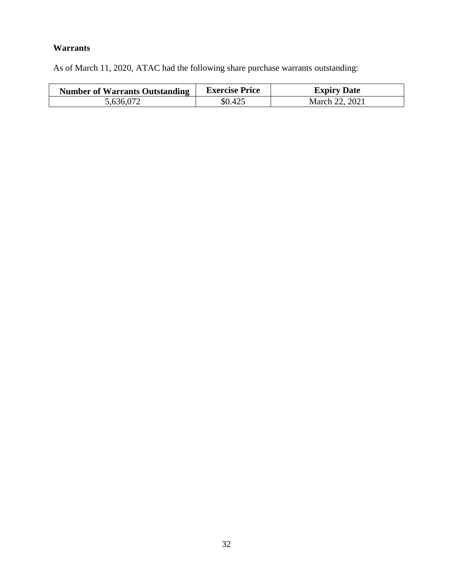# **Warrants**

As of March 11, 2020, ATAC had the following share purchase warrants outstanding:

| <b>Number of Warrants Outstanding</b> | <b>Exercise Price</b> | <b>Expiry Date</b> |
|---------------------------------------|-----------------------|--------------------|
| 5,636,072                             | \$0.425               | March 22, 2021     |